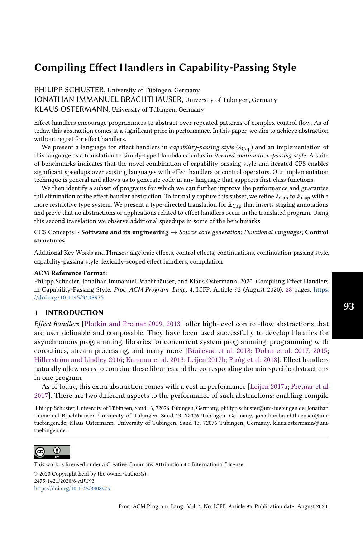PHILIPP SCHUSTER, University of Tübingen, Germany JONATHAN IMMANUEL BRACHTHÄUSER, University of Tübingen, Germany KLAUS OSTERMANN, University of Tübingen, Germany

Effect handlers encourage programmers to abstract over repeated patterns of complex control flow. As of today, this abstraction comes at a significant price in performance. In this paper, we aim to achieve abstraction without regret for effect handlers.

We present a language for effect handlers in *capability-passing style* ( $\lambda_{\text{Cap}}$ ) and an implementation of this language as a translation to simply-typed lambda calculus in iterated continuation-passing style. A suite of benchmarks indicates that the novel combination of capability-passing style and iterated CPS enables significant speedups over existing languages with effect handlers or control operators. Our implementation technique is general and allows us to generate code in any language that supports first-class functions.

We then identify a subset of programs for which we can further improve the performance and guarantee full elimination of the effect handler abstraction. To formally capture this subset, we refine  $\lambda_{\text{Can}}$  to  $\lambda_{\text{Can}}$  with a more restrictive type system. We present a type-directed translation for  $\lambda_{Cap}$  that inserts staging annotations and prove that no abstractions or applications related to effect handlers occur in the translated program. Using this second translation we observe additional speedups in some of the benchmarks.

CCS Concepts: • Software and its engineering  $\rightarrow$  Source code generation; Functional languages; Control structures.

Additional Key Words and Phrases: algebraic effects, control effects, continuations, continuation-passing style, capability-passing style, lexically-scoped effect handlers, compilation

# ACM Reference Format:

Philipp Schuster, Jonathan Immanuel Brachthäuser, and Klaus Ostermann. 2020. Compiling Effect Handlers in Capability-Passing Style. Proc. ACM Program. Lang. 4, ICFP, Article 93 (August 2020), [28](#page-27-0) pages. [https:](https://doi.org/10.1145/3408975) [//doi.org/10.1145/3408975](https://doi.org/10.1145/3408975)

# 1 INTRODUCTION

Effect handlers [\[Plotkin and Pretnar 2009,](#page-27-1) [2013\]](#page-27-2) offer high-level control-flow abstractions that are user definable and composable. They have been used successfully to develop libraries for asynchronous programming, libraries for concurrent system programming, programming with coroutines, stream processing, and many more [\[Bračevac et al.](#page-25-0) [2018;](#page-25-0) [Dolan et al.](#page-26-0) [2017,](#page-26-0) [2015;](#page-26-1) [Hillerström and Lindley 2016;](#page-26-2) [Kammar et al.](#page-26-3) [2013;](#page-26-3) [Leijen 2017b;](#page-26-4) [Piróg et al.](#page-27-3) [2018\]](#page-27-3). Effect handlers naturally allow users to combine these libraries and the corresponding domain-specific abstractions in one program.

As of today, this extra abstraction comes with a cost in performance [\[Leijen 2017a;](#page-26-5) [Pretnar et al.](#page-27-4) [2017\]](#page-27-4). There are two different aspects to the performance of such abstractions: enabling compile

Philipp Schuster, University of Tübingen, Sand 13, 72076 Tübingen, Germany, philipp.schuster@uni-tuebingen.de; Jonathan Immanuel Brachthäuser, University of Tübingen, Sand 13, 72076 Tübingen, Germany, jonathan.brachthaeuser@unituebingen.de; Klaus Ostermann, University of Tübingen, Sand 13, 72076 Tübingen, Germany, klaus.ostermann@unituebingen.de.



This work is licensed under a Creative Commons Attribution 4.0 International License.

© 2020 Copyright held by the owner/author(s). 2475-1421/2020/8-ART93 <https://doi.org/10.1145/3408975>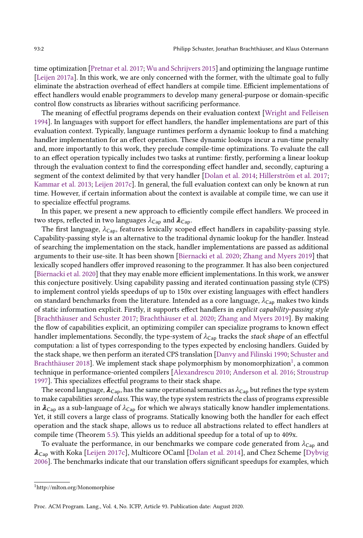time optimization [\[Pretnar et al.](#page-27-4) [2017;](#page-27-4) [Wu and Schrijvers 2015\]](#page-27-5) and optimizing the language runtime [\[Leijen 2017a\]](#page-26-5). In this work, we are only concerned with the former, with the ultimate goal to fully eliminate the abstraction overhead of effect handlers at compile time. Efficient implementations of effect handlers would enable programmers to develop many general-purpose or domain-specific control flow constructs as libraries without sacrificing performance.

The meaning of effectful programs depends on their evaluation context [\[Wright and Felleisen](#page-27-6) [1994\]](#page-27-6). In languages with support for effect handlers, the handler implementations are part of this evaluation context. Typically, language runtimes perform a dynamic lookup to find a matching handler implementation for an effect operation. These dynamic lookups incur a run-time penalty and, more importantly to this work, they preclude compile-time optimizations. To evaluate the call to an effect operation typically includes two tasks at runtime: firstly, performing a linear lookup through the evaluation context to find the corresponding effect handler and, secondly, capturing a segment of the context delimited by that very handler [\[Dolan et al.](#page-26-6) [2014;](#page-26-6) [Hillerström et al.](#page-26-7) [2017;](#page-26-7) [Kammar et al.](#page-26-3) [2013;](#page-26-3) [Leijen 2017c\]](#page-26-8). In general, the full evaluation context can only be known at run time. However, if certain information about the context is available at compile time, we can use it to specialize effectful programs.

In this paper, we present a new approach to efficiently compile effect handlers. We proceed in two steps, reflected in two languages  $\lambda_{\text{Cap}}$  and  $\lambda_{\text{Cap}}$ .

The first language,  $\lambda_{\text{Cap}}$ , features lexically scoped effect handlers in capability-passing style. Capability-passing style is an alternative to the traditional dynamic lookup for the handler. Instead of searching the implementation on the stack, handler implementations are passed as additional arguments to their use-site. It has been shown [\[Biernacki et al.](#page-25-1) [2020;](#page-25-1) [Zhang and Myers 2019\]](#page-27-7) that lexically scoped handlers offer improved reasoning to the programmer. It has also been conjectured [\[Biernacki et al.](#page-25-1) [2020\]](#page-25-1) that they may enable more efficient implementations. In this work, we answer this conjecture positively. Using capability passing and iterated continuation passing style (CPS) to implement control yields speedups of up to 150x over existing languages with effect handlers on standard benchmarks from the literature. Intended as a core language,  $\lambda_{\text{Cap}}$  makes two kinds of static information explicit. Firstly, it supports effect handlers in explicit capability-passing style [\[Brachthäuser and Schuster 2017;](#page-25-2) [Brachthäuser et al.](#page-25-3) [2020;](#page-25-3) [Zhang and Myers 2019\]](#page-27-7). By making the flow of capabilities explicit, an optimizing compiler can specialize programs to known effect handler implementations. Secondly, the type-system of  $\lambda_{\text{Cap}}$  tracks the stack shape of an effectful computation: a list of types corresponding to the types expected by enclosing handlers. Guided by the stack shape, we then perform an iterated CPS translation [\[Danvy and Filinski 1990;](#page-25-4) [Schuster and](#page-27-8) [Brachthäuser 2018\]](#page-27-8). We implement stack shape polymorphism by monomorphization $^{\rm l}$ , a common technique in performance-oriented compilers [\[Alexandrescu 2010;](#page-25-5) [Anderson et al.](#page-25-6) [2016;](#page-25-6) [Stroustrup](#page-27-9) [1997\]](#page-27-9). This specializes effectful programs to their stack shape.

The second language,  $\lambda_{Cap}$ , has the same operational semantics as  $\lambda_{Cap}$  but refines the type system to make capabilities second class. This way, the type system restricts the class of programs expressible in  $\lambda_{\text{Cap}}$  as a sub-language of  $\lambda_{\text{Cap}}$  for which we always statically know handler implementations. Yet, it still covers a large class of programs. Statically knowing both the handler for each effect operation and the stack shape, allows us to reduce all abstractions related to effect handlers at compile time (Theorem [5.5\)](#page-17-0). This yields an additional speedup for a total of up to 409x.

To evaluate the performance, in our benchmarks we compare code generated from  $\lambda_{\text{Cap}}$  and  $\lambda_{\text{Cap}}$  with Koka [\[Leijen 2017c\]](#page-26-8), Multicore OCaml [\[Dolan et al.](#page-26-6) [2014\]](#page-26-6), and Chez Scheme [\[Dybvig](#page-26-9) [2006\]](#page-26-9). The benchmarks indicate that our translation offers significant speedups for examples, which

<span id="page-1-0"></span><sup>1</sup>http://mlton.org/Monomorphise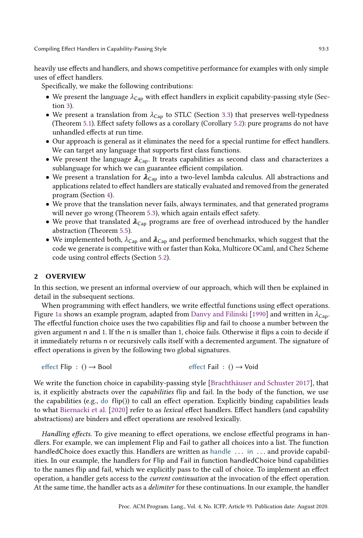heavily use effects and handlers, and shows competitive performance for examples with only simple uses of effect handlers.

Specifically, we make the following contributions:

- We present the language  $\lambda_{Cap}$  with effect handlers in explicit capability-passing style (Section [3\)](#page-5-0).
- We present a translation from  $\lambda_{\text{Cap}}$  to STLC (Section [3.3\)](#page-8-0) that preserves well-typedness (Theorem [5.1\)](#page-16-0). Effect safety follows as a corollary (Corollary [5.2\)](#page-16-1): pure programs do not have unhandled effects at run time.
- Our approach is general as it eliminates the need for a special runtime for effect handlers. We can target any language that supports first class functions.
- We present the language  $\lambda_{\text{Cap}}$ . It treats capabilities as second class and characterizes a sublanguage for which we can guarantee efficient compilation.
- We present a translation for  $\lambda_{\text{Cap}}$  into a two-level lambda calculus. All abstractions and applications related to effect handlers are statically evaluated and removed from the generated program (Section [4\)](#page-10-0).
- We prove that the translation never fails, always terminates, and that generated programs will never go wrong (Theorem [5.3\)](#page-16-2), which again entails effect safety.
- We prove that translated  $\lambda_{Cap}$  programs are free of overhead introduced by the handler abstraction (Theorem [5.5\)](#page-17-0).
- $\bullet\,$  We implemented both,  $\lambda_{\textsf{Cap}}$  and  $\lambda_{\textsf{Cap}}$  and performed benchmarks, which suggest that the code we generate is competitive with or faster than Koka, Multicore OCaml, and Chez Scheme code using control effects (Section [5.2\)](#page-17-1).

# <span id="page-2-0"></span>2 OVERVIEW

In this section, we present an informal overview of our approach, which will then be explained in detail in the subsequent sections.

When programming with effect handlers, we write effectful functions using effect operations. Figure [1a](#page-3-0) shows an example program, adapted from [Danvy and Filinski](#page-25-4) [\[1990\]](#page-25-4) and written in  $\lambda_{\text{Ca}p}$ . The effectful function choice uses the two capabilities flip and fail to choose a number between the given argument n and 1. If the n is smaller than 1, choice fails. Otherwise it flips a coin to decide if it immediately returns n or recursively calls itself with a decremented argument. The signature of effect operations is given by the following two global signatures.

effect Flip : () → Bool effect Fail : () → Void

We write the function choice in capability-passing style [\[Brachthäuser and Schuster 2017\]](#page-25-2), that is, it explicitly abstracts over the capabilities flip and fail. In the body of the function, we use the capabilities (e.g., do flip()) to call an effect operation. Explicitly binding capabilities leads to what [Biernacki et al.](#page-25-1) [\[2020\]](#page-25-1) refer to as lexical effect handlers. Effect handlers (and capability abstractions) are binders and effect operations are resolved lexically.

Handling effects. To give meaning to effect operations, we enclose effectful programs in handlers. For example, we can implement Flip and Fail to gather all choices into a list. The function handledChoice does exactly this. Handlers are written as handle ... in ... and provide capabilities. In our example, the handlers for Flip and Fail in function handledChoice bind capabilities to the names flip and fail, which we explicitly pass to the call of choice. To implement an effect operation, a handler gets access to the current continuation at the invocation of the effect operation. At the same time, the handler acts as a delimiter for these continuations. In our example, the handler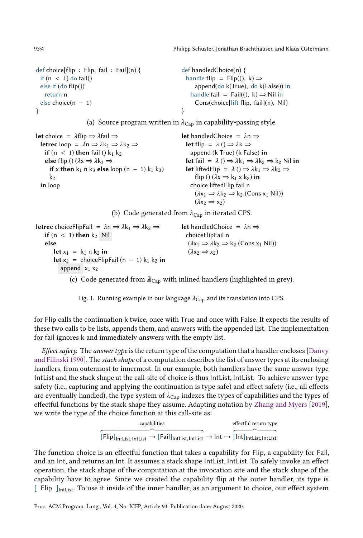<span id="page-3-0"></span>def choice[flip : Flip, fail : Fail](n) { if  $(n < 1)$  do fail() else if (do flip()) return n else choice(n − 1) } def handledChoice(n) { handle flip =  $\text{Flip}((\mathbf{k}) \Rightarrow$ append(do k(True), do k(False)) in handle fail = Fail $($ 0, k $) \Rightarrow$  Nil in Cons(choice[lift flip, fail](n), Nil) }

(a) Source program written in  $\lambda_{\text{Cap}}$  in capability-passing style.

```
let choice = λflip \Rightarrow λfail \Rightarrowletrec loop = \lambdan \Rightarrow \lambdak<sub>1</sub> \Rightarrow \lambdak<sub>2</sub> \Rightarrowif (n < 1) then fail () k<sub>1</sub> k<sub>2</sub>
      else flip () (\lambda x \Rightarrow \lambda k_3 \Rightarrowif x then k_1 n k_3 else loop (n - 1) k_1 k_3)
         k<sub>2</sub>in loop
                                                                                                          let handledChoice = \lambdan \Rightarrowlet flip = \lambda () \Rightarrow \lambdak \Rightarrowappend (k True) (k False) in
                                                                                                             let fail = \lambda () \Rightarrow \lambdak<sub>1</sub> \Rightarrow \lambdak<sub>2</sub> \Rightarrow k<sub>2</sub> Nil in
                                                                                                             let liftedFlip = \lambda () ⇒ \lambdak<sub>1</sub> ⇒ \lambdak<sub>2</sub> ⇒
                                                                                                                   flip () (\lambdax \Rightarrow k<sub>1</sub> x k<sub>2</sub>) in
                                                                                                                choice liftedFlip fail n
                                                                                                                   (\lambda x_1 \Rightarrow \lambda k_2 \Rightarrow k_2 \text{ (Cons } x_1 \text{ Nil)})(\lambda x_2 \Rightarrow x_2)
```
(b) Code generated from  $\lambda_{Cap}$  in iterated CPS.

```
letrec choiceFlipFail = \lambdan \Rightarrow \lambdak<sub>1</sub> \Rightarrow \lambdak<sub>2</sub> \Rightarrowif (n < 1) then k_2 Nil
     else
           let x_1 = k_1 n k_2 in
           let x_2 = choiceFlipFail (n − 1) k<sub>1</sub> k<sub>2</sub> in
               append x_1 x_2let handledChoice = \lambdan \RightarrowchoiceFlipFail n
                                                                                              (\lambda x_1 \Rightarrow \lambda k_2 \Rightarrow k_2 \text{ (Cons } x_1 \text{ Nil)})(\lambda x_2 \Rightarrow x_2)
```
(c) Code generated from  $\lambda_{Cap}$  with inlined handlers (highlighted in grey).

Fig. 1. Running example in our language  $\lambda_{Cap}$  and its translation into CPS.

for Flip calls the continuation k twice, once with True and once with False. It expects the results of these two calls to be lists, appends them, and answers with the appended list. The implementation for fail ignores k and immediately answers with the empty list.

*Effect safety.* The *answer type* is the return type of the computation that a handler encloses [\[Danvy](#page-25-4)] [and Filinski 1990\]](#page-25-4). The stack shape of a computation describes the list of answer types at its enclosing handlers, from outermost to innermost. In our example, both handlers have the same answer type IntList and the stack shape at the call-site of choice is thus IntList, IntList. To achieve answer-type safety (i.e., capturing and applying the continuation is type safe) and effect safety (i.e., all effects are eventually handled), the type system of  $\lambda_{Cap}$  indexes the types of capabilities and the types of effectful functions by the stack shape they assume. Adapting notation by [Zhang and Myers](#page-27-7) [\[2019\]](#page-27-7), we write the type of the choice function at this call-site as:

| capabilities                                                                                                                                                                | effectful return type |
|-----------------------------------------------------------------------------------------------------------------------------------------------------------------------------|-----------------------|
|                                                                                                                                                                             |                       |
| $[Flip]_{\text{IntList},\text{IntList}} \rightarrow [Fail]_{\text{IntList},\text{IntList}} \rightarrow \text{Int} \rightarrow [\text{Int}]_{\text{IntList},\text{IntList}}$ |                       |

The function choice is an effectful function that takes a capability for Flip, a capability for Fail, and an Int, and returns an Int. It assumes a stack shape IntList, IntList. To safely invoke an effect operation, the stack shape of the computation at the invocation site and the stack shape of the capability have to agree. Since we created the capability flip at the outer handler, its type is  $\lceil$  Flip  $\lceil$ <sub>IntList</sub>. To use it inside of the inner handler, as an argument to choice, our effect system

Proc. ACM Program. Lang., Vol. 4, No. ICFP, Article 93. Publication date: August 2020.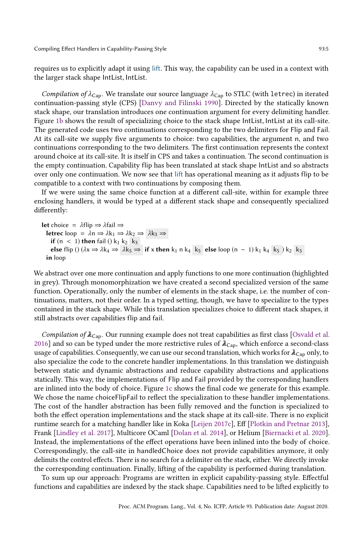Compiling Effect Handlers in Capability-Passing Style 61 and 1998 193:5

requires us to explicitly adapt it using lift. This way, the capability can be used in a context with the larger stack shape IntList, IntList.

Compilation of  $\lambda_{\text{Cap}}$ . We translate our source language  $\lambda_{\text{Cap}}$  to STLC (with letrec) in iterated continuation-passing style (CPS) [\[Danvy and Filinski 1990\]](#page-25-4). Directed by the statically known stack shape, our translation introduces one continuation argument for every delimiting handler. Figure [1b](#page-3-0) shows the result of specializing choice to the stack shape IntList, IntList at its call-site. The generated code uses two continuations corresponding to the two delimiters for Flip and Fail. At its call-site we supply five arguments to choice: two capabilities, the argument n, and two continuations corresponding to the two delimiters. The first continuation represents the context around choice at its call-site. It is itself in CPS and takes a continuation. The second continuation is the empty continuation. Capability flip has been translated at stack shape IntList and so abstracts over only one continuation. We now see that lift has operational meaning as it adjusts flip to be compatible to a context with two continuations by composing them.

If we were using the same choice function at a different call-site, within for example three enclosing handlers, it would be typed at a different stack shape and consequently specialized differently:

let choice =  $λ$ flip  $\Rightarrow$   $λ$ fail  $\Rightarrow$ letrec loop =  $λn$  ⇒  $λk_1$  ⇒  $λk_2$  ⇒  $λk_3$  ⇒ if  $(n < 1)$  then fail  $()$  k<sub>1</sub> k<sub>2</sub> k<sub>3</sub> else flip ()  $(\lambda x \Rightarrow \lambda k_4 \Rightarrow \lambda k_5 \Rightarrow$  if x then k<sub>1</sub> n k<sub>4</sub> k<sub>5</sub> else loop (n − 1) k<sub>1</sub> k<sub>4</sub> k<sub>5</sub> ) k<sub>2</sub> k<sub>3</sub> in loop

We abstract over one more continuation and apply functions to one more continuation (highlighted in grey). Through monomorphization we have created a second specialized version of the same function. Operationally, only the number of elements in the stack shape, i.e. the number of continuations, matters, not their order. In a typed setting, though, we have to specialize to the types contained in the stack shape. While this translation specializes choice to different stack shapes, it still abstracts over capabilities flip and fail.

Compilation of  $\lambda_{\text{Cap}}$ . Our running example does not treat capabilities as first class [\[Osvald et al.](#page-27-10) [2016\]](#page-27-10) and so can be typed under the more restrictive rules of  $\lambda_{\text{Can}}$ , which enforce a second-class usage of capabilities. Consequently, we can use our second translation, which works for  $\lambda_{\text{Can}}$  only, to also specialize the code to the concrete handler implementations. In this translation we distinguish between static and dynamic abstractions and reduce capability abstractions and applications statically. This way, the implementations of Flip and Fail provided by the corresponding handlers are inlined into the body of choice. Figure [1c](#page-3-0) shows the final code we generate for this example. We chose the name choiceFlipFail to reflect the specialization to these handler implementations. The cost of the handler abstraction has been fully removed and the function is specialized to both the effect operation implementations and the stack shape at its call-site. There is no explicit runtime search for a matching handler like in Koka [\[Leijen 2017c\]](#page-26-8), Eff [\[Plotkin and Pretnar 2013\]](#page-27-2), Frank [\[Lindley et al.](#page-26-10) [2017\]](#page-26-10), Multicore OCaml [\[Dolan et al.](#page-26-6) [2014\]](#page-26-6), or Helium [\[Biernacki et al.](#page-25-1) [2020\]](#page-25-1). Instead, the implementations of the effect operations have been inlined into the body of choice. Correspondingly, the call-site in handledChoice does not provide capabilities anymore, it only delimits the control effects. There is no search for a delimiter on the stack, either. We directly invoke the corresponding continuation. Finally, lifting of the capability is performed during translation.

To sum up our approach: Programs are written in explicit capability-passing style. Effectful functions and capabilities are indexed by the stack shape. Capabilities need to be lifted explicitly to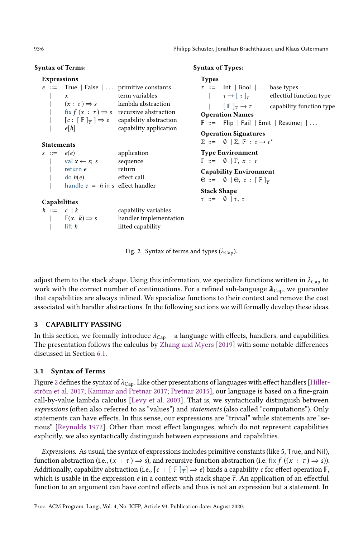#### <span id="page-5-1"></span>Syntax of Terms:

#### Expressions

|              |                                            | $e ::=$ True   False    primitive constants           |
|--------------|--------------------------------------------|-------------------------------------------------------|
|              | x                                          | term variables                                        |
| $\mathbf{L}$ | $(x: \tau) \Rightarrow s$                  | lambda abstraction                                    |
|              |                                            | fix $f(x : \tau) \Rightarrow s$ recursive abstraction |
|              | $[c: [F]_{\overline{\tau}}] \Rightarrow e$ | capability abstraction                                |
|              | el h                                       | capability application                                |
|              |                                            |                                                       |

#### **Statements**

| $s$ ::= | e(e)                               | application |
|---------|------------------------------------|-------------|
|         | val $x \leftarrow s$ ; s           | sequence    |
|         | return e                           | return      |
|         | $\text{do } h(e)$                  | effect call |
|         | handle $c = h$ in s effect handler |             |

#### Capabilities

| $h \equiv c \mid k$              | capability variables   |
|----------------------------------|------------------------|
| $\mathbb{F}(x, k) \Rightarrow s$ | handler implementation |
| lift $h$                         | lifted capability      |

#### Syntax of Types:

| <b>Types</b>       |                                                                                                                              |
|--------------------|------------------------------------------------------------------------------------------------------------------------------|
|                    | $\tau$ ::= lnt   Bool    base types                                                                                          |
|                    | $\left[\begin{array}{cc} & \tau \rightarrow \lceil \tau \rceil_{\overline{\tau}} \end{array}\right]$ effectful function type |
|                    | $\left[\begin{array}{ccc} \mathbb{F} & \frac{1}{\tau} \to \tau \end{array}\right]$ capability function type                  |
|                    | <b>Operation Names</b>                                                                                                       |
|                    | $\mathbb{F}$ ::= Flip   Fail   Emit   Resume <sub>i</sub>                                                                    |
|                    | <b>Operation Signatures</b>                                                                                                  |
|                    | $\Sigma ::= \emptyset   \Sigma, \mathbb{F} : \tau \rightarrow \tau'$                                                         |
|                    | <b>Type Environment</b>                                                                                                      |
|                    | $\Gamma ::= \emptyset   \Gamma, x : \tau$                                                                                    |
|                    | <b>Capability Environment</b>                                                                                                |
|                    | $\Theta ::= \emptyset   \Theta, c :   \mathbb{F}  _{\overline{\tau}}$                                                        |
| <b>Stack Shape</b> |                                                                                                                              |
|                    | $\overline{\tau} ::= \emptyset   \overline{\tau}, \tau$                                                                      |
|                    |                                                                                                                              |

Fig. 2. Syntax of terms and types ( $\lambda_{\text{Cap}}$ ).

adjust them to the stack shape. Using this information, we specialize functions written in  $\lambda_{\text{Cap}}$  to work with the correct number of continuations. For a refined sub-language  $\lambda_{Cap}$ , we guarantee that capabilities are always inlined. We specialize functions to their context and remove the cost associated with handler abstractions. In the following sections we will formally develop these ideas.

# <span id="page-5-0"></span>3 CAPABILITY PASSING

In this section, we formally introduce  $\lambda_{Cap}$  – a language with effects, handlers, and capabilities. The presentation follows the calculus by [Zhang and Myers](#page-27-7) [\[2019\]](#page-27-7) with some notable differences discussed in Section [6.1.](#page-20-0)

# 3.1 Syntax of Terms

Figure [2](#page-5-1) defines the syntax of  $\lambda_{Cap}$ . Like other presentations of languages with effect handlers [\[Hiller](#page-26-7)[ström et al.](#page-26-7) [2017;](#page-26-7) [Kammar and Pretnar 2017;](#page-26-11) [Pretnar 2015\]](#page-27-11), our language is based on a fine-grain call-by-value lambda calculus [\[Levy et al.](#page-26-12) [2003\]](#page-26-12). That is, we syntactically distinguish between expressions (often also referred to as "values") and statements (also called "computations"). Only statements can have effects. In this sense, our expressions are "trivial" while statements are "seriousž [\[Reynolds 1972\]](#page-27-12). Other than most effect languages, which do not represent capabilities explicitly, we also syntactically distinguish between expressions and capabilities.

Expressions. As usual, the syntax of expressions includes primitive constants (like 5, True, and Nil), function abstraction (i.e.,  $(x : \tau) \Rightarrow s$ ), and recursive function abstraction (i.e. fix  $f((x : \tau) \Rightarrow s)$ ). Additionally, capability abstraction (i.e.,  $[c : [F]_{\overline{t}}] \Rightarrow e$ ) binds a capability c for effect operation  $\overline{F}$ , which is usable in the expression e in a context with stack shape  $\bar{\tau}$ . An application of an effectful function to an argument can have control effects and thus is not an expression but a statement. In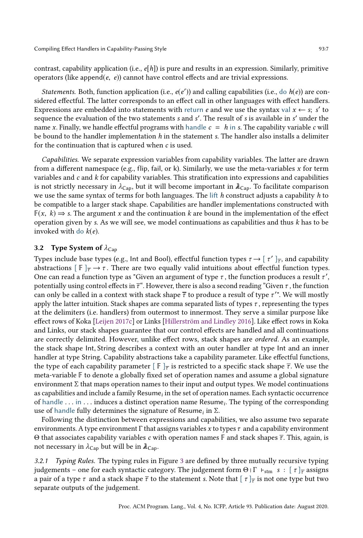contrast, capability application (i.e.,  $e[h]$ ) is pure and results in an expression. Similarly, primitive operators (like append $(e, e)$ ) cannot have control effects and are trivial expressions.

Statements. Both, function application (i.e.,  $e(e')$ ) and calling capabilities (i.e., do  $h(e)$ ) are considered effectful. The latter corresponds to an effect call in other languages with effect handlers. Expressions are embedded into statements with return e and we use the syntax val  $x \leftarrow s$ ; s' to sequence the evaluation of the two statements s and s'. The result of s is available in s' under the name x. Finally, we handle effectful programs with handle  $c = h$  in s. The capability variable c will be bound to the handler implementation  $h$  in the statement s. The handler also installs a delimiter for the continuation that is captured when  $c$  is used.

Capabilities. We separate expression variables from capability variables. The latter are drawn from a different namespace (e.g., flip, fail, or k). Similarly, we use the meta-variables  $x$  for term variables and  $c$  and  $k$  for capability variables. This stratification into expressions and capabilities is not strictly necessary in  $\lambda_{Cap}$ , but it will become important in  $\lambda_{Cap}$ . To facilitate comparison we use the same syntax of terms for both languages. The lift  $h$  construct adjusts a capability  $h$  to be compatible to a larger stack shape. Capabilities are handler implementations constructed with  $F(x, k) \Rightarrow$  s. The argument x and the continuation k are bound in the implementation of the effect operation given by s. As we will see, we model continuations as capabilities and thus  $k$  has to be invoked with do  $k(e)$ .

# 3.2 Type System of  $\lambda_{\text{Can}}$

Types include base types (e.g., Int and Bool), effectful function types  $\tau \to [t'']_{\tau}$ , and capability abstractions  $\lceil \mathbb{F} \rceil_{\overline{\tau}} \to \tau$ . There are two equally valid intuitions about effectful function types. One can read a function type as "Given an argument of type  $\tau$  , the function produces a result  $\tau'$  , potentially using control effects in  $\bar{\tau}^*$ . However, there is also a second reading "Given  $\tau$ , the function can only be called in a context with stack shape  $\overline{\tau}$  to produce a result of type  $\tau^{\prime}$ ". We will mostly apply the latter intuition. Stack shapes are comma separated lists of types  $\tau$ , representing the types at the delimiters (i.e. handlers) from outermost to innermost. They serve a similar purpose like effect rows of Koka [\[Leijen 2017c\]](#page-26-8) or Links [\[Hillerström and Lindley 2016\]](#page-26-2). Like effect rows in Koka and Links, our stack shapes guarantee that our control effects are handled and all continuations are correctly delimited. However, unlike effect rows, stack shapes are ordered. As an example, the stack shape Int, String describes a context with an outer handler at type Int and an inner handler at type String. Capability abstractions take a capability parameter. Like effectful functions, the type of each capability parameter  $[$   $\mathbb{F}$   $]_{\overline{\tau}}$  is restricted to a specific stack shape  $\overline{\tau}$ . We use the meta-variable F to denote a globally fixed set of operation names and assume a global signature environment  $\Sigma$  that maps operation names to their input and output types. We model continuations as capabilities and include a family  $\mathsf{Resume}_i$  in the set of operation names. Each syntactic occurrence of handle . . . in . . . induces a distinct operation name Resume<sub>i</sub>. The typing of the corresponding use of handle fully determines the signature of Resume<sub>i</sub> in  $\Sigma$ .

Following the distinction between expressions and capabilities, we also assume two separate environments. A type environment  $\Gamma$  that assigns variables x to types  $\tau$  and a capability environment Θ that associates capability variables *c* with operation names  $\mathbb F$  and stack shapes  $\overline{\tau}$ . This, again, is not necessary in  $\lambda_{\text{Cap}}$  but will be in  $\lambda_{\text{Cap}}$ .

3.2.1 Typing Rules. The typing rules in Figure [3](#page-7-0) are defined by three mutually recursive typing judgements – one for each syntactic category. The judgement form Θ  $\Gamma$   $\vdash_{\text{stm}} s : [\tau]_{\tau}$  assigns a pair of a type  $\tau$  and a stack shape  $\overline{\tau}$  to the statement s. Note that [  $\tau$  ] $_{\overline{\tau}}$  is not one type but two separate outputs of the judgement.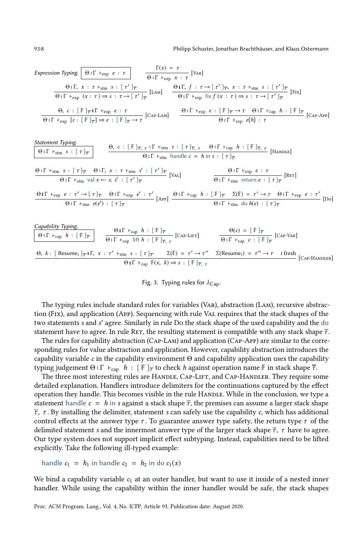#### 93:8 Philipp Schuster, Jonathan Brachthäuser, and Klaus Ostermann

<span id="page-7-0"></span>Expression Typing. 
$$
\Theta | \Gamma + \exp e : \tau
$$
  
\n $\Theta | \Gamma, x : \tau + \sin s : [\tau']_{\overline{\tau}}$   
\n $\Theta | \Gamma, f : \tau \to [\tau']_{\overline{\tau}}$   
\n $\Theta | \Gamma, f : \tau \to [\tau']_{\overline{\tau}}$   
\n $\Theta | \Gamma + \exp (x : \tau) \to s : \tau \to [\tau']_{\overline{\tau}}$   
\n $\Theta, c : [\Gamma]_{\overline{\tau}} | \Gamma + \exp e : \tau$   
\n $\Theta, c : [\Gamma]_{\overline{\tau}} | \Gamma + \exp e : \tau$   
\n $\Theta, c : [\Gamma]_{\overline{\tau}} | \Gamma + \exp e : \tau$   
\n $\Theta | \Gamma + \exp [e : [\Gamma]_{\overline{\tau}}] \to e : [\Gamma]_{\overline{\tau}} \to \tau$   
\n $\Theta | \Gamma + \exp [e : [\Gamma]_{\overline{\tau}}] \to e : [\Gamma]_{\overline{\tau}} \to \tau$   
\n $\Theta | \Gamma + \exp [e | \Gamma]_{\overline{\tau}} | \tau$   
\n $\Theta | \Gamma + \exp [e | \Gamma]_{\overline{\tau}} | \tau$   
\n $\Theta | \Gamma + \exp [e | \Gamma]_{\overline{\tau}} | \tau$   
\n $\Theta | \Gamma + \exp [e | \Gamma]_{\overline{\tau}} | \tau$   
\n $\Theta | \Gamma + \exp [e | \Gamma]_{\overline{\tau}} | \tau$   
\n $\Theta | \Gamma + \exp [e | \Gamma]_{\overline{\tau}} | \tau$   
\n $\Theta | \Gamma + \exp [e | \Gamma + \exp [e | \Gamma]_{\overline{\tau}} | \tau$   
\n $\Theta | \Gamma + \exp [e | \Gamma + \exp [e | \Gamma]_{\overline{\tau}} | \tau$   
\n $\Theta | \Gamma + \exp [e | \Gamma + \exp [e | \Gamma]_{\overline{\tau}} | \tau$   
\n $\Theta | \Gamma + \exp [e | \Gamma + \exp [e | \Gamma]_{\overline{\tau}} | \tau$   
\n $\Theta | \Gamma + \exp [e | \Gamma + \exp [e | \Gamma]_{\overline{\tau}} | \tau$   
\n $\Theta | \Gamma + \exp [e | \Gamma + \exp [e | \Gamma]_{$ 

Fig. 3. Typing rules for 
$$
\lambda_{\text{Cap}}
$$
.

 $Θ$  Ι Γ  $\vdash$ <sub>cap</sub>  $\mathbb{F}(x, k) \Rightarrow s : [\mathbb{F}]_{\overline{\tau}, \tau}$ 

The typing rules include standard rules for variables (Var), abstraction (Lam), recursive abstraction (Fix), and application (App). Sequencing with rule Val requires that the stack shapes of the two statements s and s' agree. Similarly in rule Do the stack shape of the used capability and the do statement have to agree. In rule RET, the resulting statement is compatible with any stack shape  $\bar{\tau}$ .

The rules for capability abstraction (Cap-Lam) and application (Cap-App) are similar to the corresponding rules for value abstraction and application. However, capability abstraction introduces the capability variable c in the capability environment  $\Theta$  and capability application uses the capability typing judgement  $\Theta \cap \Gamma$   $\vdash_{\text{cap}} h : [\Gamma]_{\overline{\tau}}$  to check h against operation name  $\overline{\mathbb{F}}$  in stack shape  $\overline{\tau}$ .

The three most interesting rules are HANDLE, CAP-LIFT, and CAP-HANDLER. They require some detailed explanation. Handlers introduce delimiters for the continuations captured by the effect operation they handle. This becomes visible in the rule HANDLE. While in the conclusion, we type a statement handle  $c = h$  in s against a stack shape  $\overline{\tau}$ , the premises can assume a larger stack shape  $\overline{\tau}$ ,  $\tau$ . By installing the delimiter, statement s can safely use the capability c, which has additional control effects at the answer type  $\tau$ . To guarantee answer type safety, the return type  $\tau$  of the delimited statement s and the innermost answer type of the larger stack shape  $\overline{\tau}$ ,  $\tau$  have to agree. Our type system does not support implicit effect subtyping. Instead, capabilities need to be lifted explicitly. Take the following ill-typed example:

handle 
$$
c_1 = h_1
$$
 in handle  $c_2 = h_2$  in do  $c_1(x)$ 

We bind a capability variable  $c_1$  at an outer handler, but want to use it inside of a nested inner handler. While using the capability within the inner handler would be safe, the stack shapes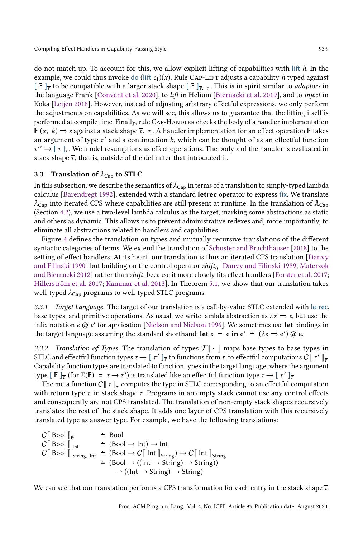do not match up. To account for this, we allow explicit lifting of capabilities with lift  $h$ . In the example, we could thus invoke do (lift  $c_1(x)$ ). Rule Cap-LIFT adjusts a capability h typed against  $[\mathbb{F}]_{\overline{\tau}}$  to be compatible with a larger stack shape  $[\mathbb{F}]_{\overline{\tau}, \tau}$ . This is in spirit similar to *adaptors* in the language Frank [\[Convent et al.](#page-25-7) [2020\]](#page-25-7), to lift in Helium [\[Biernacki et al.](#page-25-8) [2019\]](#page-25-8), and to inject in Koka [\[Leijen 2018\]](#page-26-13). However, instead of adjusting arbitrary effectful expressions, we only perform the adjustments on capabilities. As we will see, this allows us to guarantee that the lifting itself is performed at compile time. Finally, rule CAP-HANDLER checks the body of a handler implementation  $F(x, k) \Rightarrow$  s against a stack shape  $\overline{\tau}$ ,  $\tau$ . A handler implementation for an effect operation F takes an argument of type  $\tau'$  and a continuation k, which can be thought of as an effectful function  $\tau'' \to [\tau]_{\overline{\tau}}$ . We model resumptions as effect operations. The body s of the handler is evaluated in stack shape  $\overline{\tau}$ , that is, outside of the delimiter that introduced it.

# <span id="page-8-0"></span>3.3 Translation of  $\lambda_{\text{Cap}}$  to STLC

In this subsection, we describe the semantics of  $\lambda_{\text{Cap}}$  in terms of a translation to simply-typed lambda calculus [\[Barendregt 1992\]](#page-25-9), extended with a standard letrec operator to express fix. We translate  $\lambda_{\text{Cap}}$  into iterated CPS where capabilities are still present at runtime. In the translation of  $\lambda_{\text{Cap}}$ (Section [4.2\)](#page-12-0), we use a two-level lambda calculus as the target, marking some abstractions as static and others as dynamic. This allows us to prevent administrative redexes and, more importantly, to eliminate all abstractions related to handlers and capabilities.

Figure [4](#page-9-0) defines the translation on types and mutually recursive translations of the different syntactic categories of terms. We extend the translation of [Schuster and Brachthäuser](#page-27-8) [\[2018\]](#page-27-8) to the setting of effect handlers. At its heart, our translation is thus an iterated CPS translation [\[Danvy](#page-25-4) [and Filinski 1990\]](#page-25-4) <mark>but building on the control operator</mark> s $hif_{0}$  [\[Danvy and Filinski 1989;](#page-25-10) [Materzok](#page-26-14) [and Biernacki 2012\]](#page-26-14) rather than shift, because it more closely fits effect handlers [\[Forster et al.](#page-26-15) [2017;](#page-26-15) [Hillerström et al.](#page-26-7) [2017;](#page-26-7) [Kammar et al.](#page-26-3) [2013\]](#page-26-3). In Theorem [5.1,](#page-16-0) we show that our translation takes well-typed  $\lambda_{\text{Cap}}$  programs to well-typed STLC programs.

3.3.1 Target Language. The target of our translation is a call-by-value STLC extended with letrec, base types, and primitive operations. As usual, we write lambda abstraction as  $\lambda x \Rightarrow e$ , but use the infix notation  $e \oslash e'$  for application [\[Nielson and Nielson 1996\]](#page-26-16). We sometimes use let bindings in the target language assuming the standard shorthand: let  $x = e$  in  $e' \doteq (\lambda x \Rightarrow e')$  @ e.

3.3.2 Translation of Types. The translation of types  $\mathcal{T} \llbracket \cdot \rrbracket$  maps base types to base types in STLC and effectful function types  $\tau \to [t']_{\overline{\tau}}$  to functions from  $\tau$  to effectful computations  $C[\![t']_{\overline{\tau}}]$ . Capability function types are translated to function types in the target language, where the argument type  $[ \mathbb{F} ]_{\overline{\tau}}$  (for Σ( $\mathbb{F} ) = \tau \to \tau'$ ) is translated like an effectful function type  $\tau \to [ \tau' ]_{\overline{\tau}}$ .

The meta function  $C\llbracket \tau \rrbracket_{\overline{\tau}}$  computes the type in STLC corresponding to an effectful computation with return type  $\tau$  in stack shape  $\overline{\tau}$ . Programs in an empty stack cannot use any control effects and consequently are not CPS translated. The translation of non-empty stack shapes recursively translates the rest of the stack shape. It adds one layer of CPS translation with this recursively translated type as answer type. For example, we have the following translations:

 $C[\begin{bmatrix} \text{Bool} \end{bmatrix}]_0$  = Bool<br>  $C[\begin{bmatrix} \text{Bool} \end{bmatrix}]_{\text{Int}}$  = (Boo  $\dot{=}$  (Bool  $\rightarrow$  Int)  $\rightarrow$  Int  $C_{\parallel}$  Bool  $\parallel$  String, Int  $\equiv$  (Bool  $\rightarrow$  C $\parallel$  Int  $\parallel$ <sub>String</sub>)  $\rightarrow$  C $\parallel$  Int  $\parallel$ <sub>String</sub>  $\dot{=} (\text{Bool} \rightarrow ((\text{Int} \rightarrow \text{String}) \rightarrow \text{String}))$  $\rightarrow$  ((Int  $\rightarrow$  String)  $\rightarrow$  String)

We can see that our translation performs a CPS transformation for each entry in the stack shape  $\bar{\tau}$ .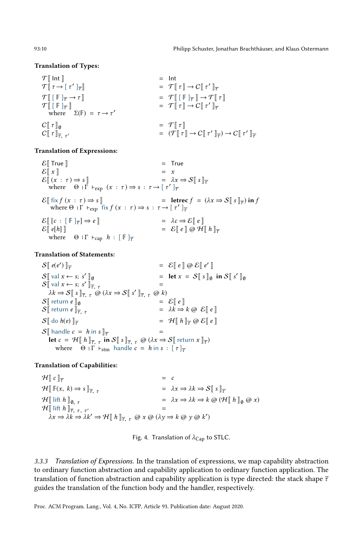#### <span id="page-9-0"></span>Translation of Types:

| $\mathcal{T} \llbracket \text{Int} \rrbracket$                                                                    | = $\text{Int}$                                                                                                                                     |                                            |
|-------------------------------------------------------------------------------------------------------------------|----------------------------------------------------------------------------------------------------------------------------------------------------|--------------------------------------------|
| $\mathcal{T} \llbracket \tau \rightarrow \lbrack \tau' \rbrack_{\overline{\tau}} \rrbracket$                      | = $\mathcal{T} \llbracket \tau \rrbracket \rightarrow C \llbracket \tau' \rrbracket_{\overline{\tau}}$                                             |                                            |
| $\mathcal{T} \llbracket \lbrack \mathbb{F} \rbrack_{\overline{\tau}} \rightarrow \tau \rrbracket$                 | = $\mathcal{T} \llbracket \lbrack \lbrack \mathbb{F} \rbrack_{\overline{\tau}} \rbrack \rightarrow \mathcal{T} \llbracket \tau \rrbracket$         |                                            |
| $\mathcal{T} \llbracket \lbrack \lbrack \mathbb{F} \rbrack_{\overline{\tau}} \rbrack \rightarrow \tau \rrbracket$ | = $\mathcal{T} \llbracket \lbrack \lbrack \lbrack \mathbb{F} \rbrack_{\overline{\tau}} \rbrack \rightarrow \mathcal{T} \llbracket \tau \rrbracket$ |                                            |
| $\mathcal{T} \llbracket \lbrack \lbrack \lbrack \tau \rrbracket_{\overline{\tau}} \rbrack$                        | = $\mathcal{T} \llbracket \lbrack \lbrack \lbrack \tau \rrbracket \rightarrow C \llbracket \tau' \rrbracket_{\overline{\tau}}$                     |                                            |
| $C \llbracket \tau \rrbracket_0$                                                                                  | = $\mathcal{T} \llbracket \tau \rrbracket$                                                                                                         | = $\mathcal{T} \llbracket \tau \rrbracket$ |
| $C \llbracket \tau \rrbracket_{\overline{\tau}}$                                                                  | = $\mathcal{T} \llbracket \tau \rrbracket$                                                                                                         | = $\mathcal{T} \llbracket \tau \rrbracket$ |
| $C \llbracket \tau \rrbracket_{\overline{\tau}}$                                                                  | = $\mathcal{T} \llbracket \tau \rrbracket$                                                                                                         | = $\mathcal{T} \ll$                        |

#### Translation of Expressions:

 $\mathcal{E}$  True  $\mathbb{I}$  = True  $\mathcal{E}[[x]] = x$  $\mathcal{E}[(x : \tau) \Rightarrow s]$  =  $\lambda x \Rightarrow \mathcal{S}[s]_{\tau}$ where  $\Theta \perp \vec{\Gamma}$   $\vdash_{\exp} (x : \tau) \Rightarrow s : \tau \rightarrow [\tau']_{\tau}$  $\mathcal{E} \llbracket \text{ fix } f(x : \tau) \Rightarrow s \rrbracket$  = lettec  $f = (\lambda x \Rightarrow \mathcal{S} \llbracket s \rrbracket_{\overline{\tau}})$  in f where  $\Theta \perp \Gamma \vdash_{\exp} \text{fix } f(x : \tau) \Rightarrow s : \tau \to [\tau']_{\overline{\tau}}$  $\mathcal{E}[[c : [F]_{\overline{\tau}}] \Rightarrow e$  $= \lambda c \Rightarrow \mathcal{E} \parallel e \parallel$  $\mathcal{E} \left[ \left[ e \right] h \right] \left[ e \right] = \mathcal{E} \left[ e \left[ \left[ \left[ \mathcal{Q} \mathcal{H} \right] h \right] \right] \right]$ where  $\Theta \upharpoonright \Gamma \vdash_{\text{cap}} h : [\mathbb{F}]_{\overline{\tau}}$ 

#### Translation of Statements:

```
S\parallel e(e')) \left[\frac{1}{\tau}\right] \odot \mathcal{E} \left[\left[e\right]\right] \odot \mathcal{E} \left[\left[e'\right]\right]S[ val x \leftarrow s; s'\mathbb{I}_{\emptyset} = let x = S \mathbb{I} s \mathbb{I}_{\emptyset} in S \mathbb{I} s' \mathbb{I}_{\emptyset}S \mid \text{val } x \leftarrow s; s'\bar{\mathbb{F}}_{\tau, \tau} =
      \lambda k \Rightarrow S[[s]]_{\overline{\tau}, \tau} \overset{\sim}{\omega} (\lambda x \Rightarrow S[[s']]_{\overline{\tau}, \tau} \overset{\sim}{\omega} k)S_{\parallel} return e_{\parallel_0} = \delta_{\parallel} e \parallel = \lambda k \Rightarrow= \lambda k \Rightarrow k \varpi \& \mathcal{E} \mathbb{I} e \mathbb{I}S \mid \text{do } h(e) \mid_{\overline{\tau}} = \mathcal{H} \mid h \mid_{\overline{\tau}} @ \mathcal{E} \mid e \mid_{\tau}S\| handle c = h in s\|_{\overline{x}}let c = \mathcal{H} \left[ h \right]_{\overline{\tau}, \tau} in S \left[ s \right]_{\overline{\tau}, \tau} \omega (\lambda x \Rightarrow S \left[ \text{ return } x \right]_{\overline{\tau}})where \Theta \cap \Gamma \vdash_{\text{stm}} handle c = h in s : [\tau]_{\overline{\tau}}
```
#### Translation of Capabilities:

 $\mathcal{H} \llbracket c \rrbracket_{\overline{\tau}}$  = c  $\mathcal{H} \llbracket \mathbb{F}(x, k) \Rightarrow s \rrbracket_{\overline{\tau}}$   $\tau$  =  $\lambda x \Rightarrow \lambda k \Rightarrow S \llbracket s \rrbracket_{\overline{\tau}}$  $\mathcal{H}$ | lift  $h \rVert_{0, \tau}$  =  $\lambda x \Rightarrow \lambda k \Rightarrow k \otimes (\mathcal{H} \rVert h \rVert_{0} \otimes x)$  $\mathcal{H}[\![\,{\rm lift}\, h\,]\!]_{\overline{\tau},\,\, \tau,\,\, \tau'}$  $\mathcal{L} =$  $\lambda x \Rightarrow \lambda \overrightarrow{k} \Rightarrow \lambda \overrightarrow{k}' \Rightarrow \mathcal{H} \llbracket h \rrbracket_{\overline{\tau}, \tau} \omega x \omega (\lambda y \Rightarrow k \omega y \omega \overrightarrow{k}')$ 

Fig. 4. Translation of  $\lambda_{\text{Can}}$  to STLC.

3.3.3 Translation of Expressions. In the translation of expressions, we map capability abstraction to ordinary function abstraction and capability application to ordinary function application. The translation of function abstraction and capability application is type directed: the stack shape  $\overline{\tau}$ guides the translation of the function body and the handler, respectively.

Proc. ACM Program. Lang., Vol. 4, No. ICFP, Article 93. Publication date: August 2020.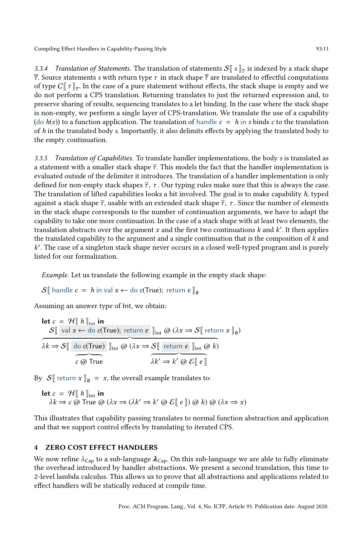3.3.4 Translation of Statements. The translation of statements  $\mathcal{S}[\![s]\!]_{\overline{\tau}}$  is indexed by a stack shape  $\overline{\tau}$ . Source statements s with return type  $\tau$  in stack shape  $\overline{\tau}$  are translated to effectful computations of type  $C\llbracket \tau \rrbracket_{\overline{\tau}}$ . In the case of a pure statement without effects, the stack shape is empty and we do not perform a CPS translation. Returning translates to just the returned expression and, to preserve sharing of results, sequencing translates to a let binding. In the case where the stack shape is non-empty, we perform a single layer of CPS-translation. We translate the use of a capability (do  $h(e)$ ) to a function application. The translation of handle  $c = h$  in s binds c to the translation of  $h$  in the translated body s. Importantly, it also delimits effects by applying the translated body to the empty continuation.

3.3.5 Translation of Capabilities. To translate handler implementations, the body s is translated as a statement with a smaller stack shape  $\overline{\tau}$ . This models the fact that the handler implementation is evaluated outside of the delimiter it introduces. The translation of a handler implementation is only defined for non-empty stack shapes  $\overline{\tau}$ ,  $\tau$ . Our typing rules make sure that this is always the case. The translation of lifted capabilities looks a bit involved. The goal is to make capability h, typed against a stack shape  $\overline{\tau}$ , usable with an extended stack shape  $\overline{\tau}$ ,  $\tau$ . Since the number of elements in the stack shape corresponds to the number of continuation arguments, we have to adapt the capability to take one more continuation. In the case of a stack shape with at least two elements, the translation abstracts over the argument x and the first two continuations  $k$  and  $k'$ . It then applies the translated capability to the argument and a single continuation that is the composition of  $k$  and k ′ . The case of a singleton stack shape never occurs in a closed well-typed program and is purely listed for our formalization.

Example. Let us translate the following example in the empty stack shape:

S[ handle  $c = h$  in val  $x \leftarrow$  do  $c$ (True); return  $e \parallel_{\theta}$ 

Assuming an answer type of Int, we obtain:

let 
$$
c = \mathcal{H} \parallel h \parallel_{\text{int}}
$$
 in

\n
$$
S \parallel \text{val } x \leftarrow \text{do } c(\text{True}); \text{ return } e \parallel_{\text{int}} \omega (\lambda x \Rightarrow S \parallel \text{ return } x \parallel_0)
$$
\n
$$
\lambda k \Rightarrow S \parallel \text{do } c(\text{True}) \parallel_{\text{int}} \omega (\lambda x \Rightarrow S \parallel \text{ return } e \parallel_{\text{int}} \omega k)
$$
\n
$$
c \omega \text{True} \qquad \lambda k' \Rightarrow k' \omega \epsilon \parallel e \parallel
$$

By  $S$ [ return  $x$ ]<sub>0</sub> = x, the overall example translates to:

**let** 
$$
c = \mathcal{H}[[h]]_{int}
$$
 **in**  
 $\lambda k \Rightarrow c \text{ @ True } @ (\lambda x \Rightarrow (\lambda k' \Rightarrow k' \text{ @ } \mathcal{E}[[e]]) \text{ @ } k) \text{ @ } (\lambda x \Rightarrow x)$ 

This illustrates that capability passing translates to normal function abstraction and application and that we support control effects by translating to iterated CPS.

# <span id="page-10-0"></span>4 ZERO COST EFFECT HANDLERS

We now refine  $\lambda_{\text{Cap}}$  to a sub-language  $\lambda_{\text{Cap}}$ . On this sub-language we are able to fully eliminate the overhead introduced by handler abstractions. We present a second translation, this time to 2-level lambda calculus. This allows us to prove that all abstractions and applications related to effect handlers will be statically reduced at compile time.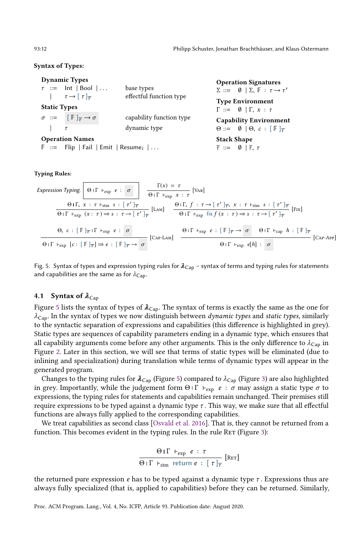### <span id="page-11-0"></span>Syntax of Types:

|                     | <b>Dynamic Types</b>                                                   | <b>Operation Signatures</b>                             |                                                                      |
|---------------------|------------------------------------------------------------------------|---------------------------------------------------------|----------------------------------------------------------------------|
|                     | $\tau$ ::= lnt   Bool                                                  | base types                                              | $\Sigma ::= \emptyset   \Sigma, \mathbb{F} : \tau \rightarrow \tau'$ |
|                     | effectful function type<br>$\tau \rightarrow [\tau]_{\overline{\tau}}$ |                                                         | <b>Type Environment</b>                                              |
| <b>Static Types</b> |                                                                        |                                                         | $\Gamma ::= \emptyset   \Gamma, x : \tau$                            |
|                     | $\sigma \ ::= \ [\mathbb{F}]_{\overline{\tau}} \rightarrow \sigma$     | capability function type                                | <b>Capability Environment</b>                                        |
|                     | $\tau$                                                                 | dynamic type                                            | $\Theta ::= \emptyset   \Theta, c : [\mathbb{F}]_{\overline{\tau}}$  |
|                     | <b>Operation Names</b>                                                 | <b>Stack Shape</b>                                      |                                                                      |
|                     | $\mathbb{F}$ ::= Flip   Fail   Emit   Resume <sub>i</sub>              | $\overline{\tau} ::= \emptyset   \overline{\tau}, \tau$ |                                                                      |

#### Typing Rules:

Expression Typing. 
$$
\Theta \upharpoonright \Gamma + \exp e : \sigma
$$
  $\overline{\Theta} \upharpoonright \Gamma + \exp x : \tau$   $\left[\text{Var}\right]$   
\n $\overline{\Theta \upharpoonright \Gamma + \exp(x : \tau) \Rightarrow s : \tau \rightarrow \left[\tau'\right]_{\overline{\tau}}}$   $\left[\text{LAM}\right]$   
\n $\overline{\Theta \upharpoonright \Gamma + \exp(x : \tau) \Rightarrow s : \tau \rightarrow \left[\tau'\right]_{\overline{\tau}}}$   $\left[\text{LAM}\right]$   
\n $\overline{\Theta \upharpoonright \Gamma + \exp f(x : \tau) \Rightarrow s : \tau \rightarrow \left[\tau'\right]_{\overline{\tau}}}$   $\left[\text{LAM}\right]$   
\n $\overline{\Theta \upharpoonright \Gamma + \exp f(x : \tau) \Rightarrow s : \tau \rightarrow \left[\tau'\right]_{\overline{\tau}}}$   $\left[\text{Fax} \upharpoonright \Gamma\right]$   
\n $\overline{\Theta \upharpoonright \Gamma + \exp e : \left[\mathbb{F} \upharpoonright_{\overline{\tau}} \rightarrow \sigma \left[\text{CAP-LAM}\right]}$   
\n $\overline{\Theta \upharpoonright \Gamma + \exp e \left[\text{E} \upharpoonright_{\overline{\tau}} \rightarrow \sigma \left[\text{CAP-LAM}\right]}$   
\n $\overline{\Theta \upharpoonright \Gamma + \exp e \left[\text{E} \upharpoonright_{\overline{\tau}} \rightarrow \sigma \left[\text{CAP-LAM}\right]}$ 

Fig. 5. Syntax of types and expression typing rules for  $\lambda_{Cap}$  - syntax of terms and typing rules for statements and capabilities are the same as for  $\lambda_{Cap}$ .

### 4.1 Syntax of  $\lambda_{\text{Cap}}$

Figure [5](#page-11-0) lists the syntax of types of  $\lambda_{Cap}$ . The syntax of terms is exactly the same as the one for  $\lambda_{\text{Cap}}$ . In the syntax of types we now distinguish between *dynamic types* and *static types*, similarly to the syntactic separation of expressions and capabilities (this difference is highlighted in grey). Static types are sequences of capability parameters ending in a dynamic type, which ensures that all capability arguments come before any other arguments. This is the only difference to  $\lambda_{\text{Cap}}$  in Figure [2.](#page-5-1) Later in this section, we will see that terms of static types will be eliminated (due to inlining and specialization) during translation while terms of dynamic types will appear in the generated program.

Changes to the typing rules for  $\lambda_{Cap}$  (Figure [5\)](#page-11-0) compared to  $\lambda_{Cap}$  (Figure [3\)](#page-7-0) are also highlighted in grey. Importantly, while the judgement form Θ Ι Γ  $\vdash_{\text{exp}} e : \sigma$  may assign a static type  $\sigma$  to expressions, the typing rules for statements and capabilities remain unchanged. Their premises still require expressions to be typed against a dynamic type  $\tau$ . This way, we make sure that all effectful functions are always fully applied to the corresponding capabilities.

We treat capabilities as second class [\[Osvald et al.](#page-27-10) [2016\]](#page-27-10). That is, they cannot be returned from a function. This becomes evident in the typing rules. In the rule RET (Figure [3\)](#page-7-0):

$$
\frac{\Theta \mid \Gamma \vdash_{\exp} e : \tau}{\Theta \mid \Gamma \vdash_{\text{stm}} \text{ return } e : [\tau]_{\overline{\tau}}}
$$
 [Rer]

the returned pure expression  $e$  has to be typed against a dynamic type  $\tau$ . Expressions thus are always fully specialized (that is, applied to capabilities) before they can be returned. Similarly,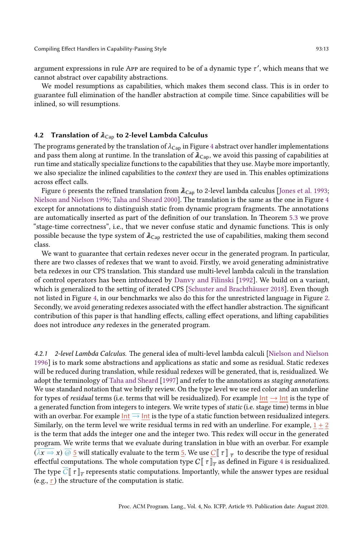argument expressions in rule App are required to be of a dynamic type  $\tau'$ , which means that we cannot abstract over capability abstractions.

We model resumptions as capabilities, which makes them second class. This is in order to guarantee full elimination of the handler abstraction at compile time. Since capabilities will be inlined, so will resumptions.

### <span id="page-12-0"></span>4.2 Translation of  $\lambda_{Cap}$  to 2-level Lambda Calculus

The programs generated by the translation of  $\lambda_{Cap}$  in Figure [4](#page-9-0) abstract over handler implementations and pass them along at runtime. In the translation of  $\lambda_{Cap}$ , we avoid this passing of capabilities at run time and statically specialize functions to the capabilities that they use. Maybe more importantly, we also specialize the inlined capabilities to the *context* they are used in. This enables optimizations across effect calls.

Figure [6](#page-13-0) presents the refined translation from  $\lambda_{Cap}$  to 2-level lambda calculus [\[Jones et al.](#page-26-17) [1993;](#page-26-17) [Nielson and Nielson 1996;](#page-26-16) [Taha and Sheard 2000\]](#page-27-13). The translation is the same as the one in Figure [4](#page-9-0) except for annotations to distinguish static from dynamic program fragments. The annotations are automatically inserted as part of the definition of our translation. In Theorem [5.3](#page-16-2) we prove "stage-time correctness", i.e., that we never confuse static and dynamic functions. This is only possible because the type system of  $\lambda_{\text{Cap}}$  restricted the use of capabilities, making them second class.

We want to guarantee that certain redexes never occur in the generated program. In particular, there are two classes of redexes that we want to avoid. Firstly, we avoid generating administrative beta redexes in our CPS translation. This standard use multi-level lambda calculi in the translation of control operators has been introduced by [Danvy and Filinski](#page-25-11) [\[1992\]](#page-25-11). We build on a variant, which is generalized to the setting of iterated CPS [\[Schuster and Brachthäuser 2018\]](#page-27-8). Even though not listed in Figure [4,](#page-9-0) in our benchmarks we also do this for the unrestricted language in Figure [2.](#page-5-1) Secondly, we avoid generating redexes associated with the effect handler abstraction. The significant contribution of this paper is that handling effects, calling effect operations, and lifting capabilities does not introduce any redexes in the generated program.

4.2.1 2-level Lambda Calculus. The general idea of multi-level lambda calculi [\[Nielson and Nielson](#page-26-16) [1996\]](#page-26-16) is to mark some abstractions and applications as static and some as residual. Static redexes will be reduced during translation, while residual redexes will be generated, that is, residualized. We adopt the terminology of [Taha and Sheard](#page-27-14) [\[1997\]](#page-27-14) and refer to the annotations as staging annotations. We use standard notation that we briefly review. On the type level we use red color and an underline for types of *residual* terms (i.e. terms that will be residualized). For example  $Int \rightarrow Int$  is the type of a generated function from integers to integers. We write types of static (i.e. stage time) terms in blue with an overbar. For example  $Int \equiv \text{Int}$  is the type of a static function between residualized integers. Similarly, on the term level we write residual terms in red with an underline. For example,  $1 + 2$ is the term that adds the integer one and the integer two. This redex will occur in the generated program. We write terms that we evaluate during translation in blue with an overbar. For example  $(\overline{\lambda x \Rightarrow x})$   $\overline{\omega}$  5 will statically evaluate to the term 5. We use  $\underline{C}$   $\llbracket \tau \rrbracket_{\overline{\tau}}$  to describe the type of residual effectful computations. The whole computation type  $C \llbracket \tau \rrbracket_{\overline{\tau}}$  as defined in Figure [4](#page-9-0) is residualized. The type  $\overline{C}[\![\, \tau\, ]\!]_{\overline{\tau}}$  represents static computations. Importantly, while the answer types are residual (e.g.,  $\tau$ ) the structure of the computation is static.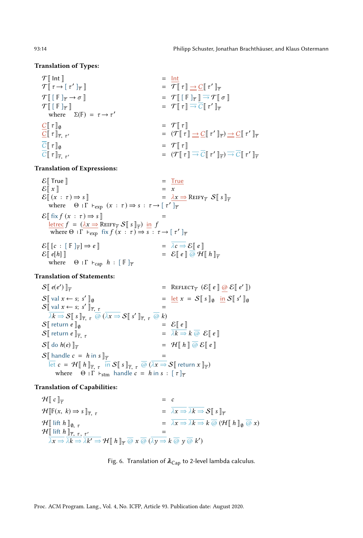#### <span id="page-13-0"></span>Translation of Types:

 $\mathcal{T}$  | Int ||  $=$  Int  $\mathcal{T}[\![\tau \rightarrow [\tau']\!]_{\overline{\tau}}$  $\mathbb{F}$  =  $\overline{\mathcal{T}}$   $\mathbb{F}$   $\tau$   $\mathbb{F}$   $\rightarrow$   $\mathbb{C}$   $\mathbb{F}$   $\tau'$   $\mathbb{F}$  $\mathcal{T}$  $[\lbrack \lbrack \rbrack \rbrack$  $\overline{\tau}$   $\rightarrow$   $\sigma$  $\lbrack \rbrack$  $= \mathcal{T} \left[ \left[ \mathbb{F} \right]_{\overline{\tau}} \right] \rightarrow \mathcal{T} \left[ \sigma \right]$  $\mathcal{T}$  $[[F]_{\overline{\tau}}]$  $\mathbb{F}$  =  $\mathcal{T} \llbracket \tau \rrbracket \Rightarrow \overline{C} \llbracket \tau' \rrbracket_{\overline{\tau}}$ where  $\Sigma(\mathbb{F}) = \tau \rightarrow \tau'$  $C[\![\tau]\!]_0$  =  $\mathcal{T}[\![\tau]\!]$  $C[\![\tau]\!]_{\overline{\tau},\tau'}$ ′ = (TJ τ K → CJ τ ′ Kτ ) → CJ τ ′ Kτ  $\overline{C} \begin{bmatrix} \tau \\ \tau \end{bmatrix}_{\alpha}$  =  $\mathcal{T} \begin{bmatrix} \tau \\ \tau \end{bmatrix}$  $C[\![\tau]\!]_{\overline{\tau},\tau'}$ ′ = (TJ τ K → CJ τ ′ Kτ ) → CJ τ ′ Kτ

Translation of Expressions:

 $\mathcal{E}$  True  $\mathbb{I}$  = True  $\mathcal{E}[[x]] = x$  $\mathcal{E}[(x : \tau) \Rightarrow s]$  =  $\lambda x \Rightarrow \text{REIFY}_{\tau} S[s]_{\tau}$ where  $\Theta \perp \Gamma$   $\vdash_{exp} (x : \tau) \Rightarrow s : \tau \rightarrow [\tau']_{\overline{\tau}}$  $\mathcal{E}$  fix  $f(x : \tau) \Rightarrow s$  ]  $\frac{\text{letter}}{f} = (\lambda x \Rightarrow \text{REF} y_{\overline{\tau}} S \llbracket s \rrbracket_{\overline{\tau}})$  in f where  $\Theta$  |  $\Gamma$  +  $\exp$  fix  $f(x : \tau) \to s : \tau \to [\tau']_{\overline{\tau}}$  $\mathcal{E}[[c : [F]_{\overline{\tau}}] \Rightarrow e]$ <br> $\mathcal{E}[[e[h]]$  $= \overline{\lambda c} \Rightarrow \mathcal{E} \parallel e \parallel$  $\mathbb{E}\left[e[h]\right]$  =  $\mathcal{E}\left[e\right]$   $\overline{\omega} \mathcal{H}\left[h\right]$   $\overline{\tau}$  where  $\Theta$  IF teen  $h: \mathbb{F}$   $\overline{\tau}$  $Θ$  ΙΓ ⊦<sub>cap</sub>  $h : [F]_{\overline{\tau}}$ 

Translation of Statements:

 $S\parallel e(e')$ )  $\Vert_{\overline{\tau}}$  = REFLECT<sub> $\overline{\tau}$ </sub> ( $\mathcal{E}[\![e]\!]$  <u>@</u>  $\mathcal{E}[\![e']\!]$  $S$ [ val  $x \leftarrow s; s'$  $\mathbb{I}_{\emptyset}$  =  $\underline{\text{let}} x = S \mathbb{I} s \mathbb{I}_{\emptyset}$   $\underline{\text{in}} S \mathbb{I} s' \mathbb{I}_{\emptyset}$  $S_{\parallel}$  val  $x \leftarrow s; s'$  $\mathbb{I}_{\overline{\tau},\mathcal{I}}$  =  $\mathbb{I}_{\overline{\tau},\mathcal{I}}$  =  $\overline{\lambda k \Rightarrow} \mathcal{S} \llbracket s \rrbracket_{\overline{\tau}, \tau} \overline{\omega} \overline{\omega} \overline{\lambda x \Rightarrow} \mathcal{S} \llbracket s' \rrbracket_{\overline{\tau}, \tau} \overline{\omega} k$  $S[\![ \text{ return } e \!]_0$  =  $S[\![ \text{ return } e \!] = \lambda k \Rightarrow$  $S[\![ \text{ return } e \!]_{\overline{\tau}, \tau}$  =  $\overline{\lambda k \Rightarrow k \overline{\omega}} \mathcal{E}[\![ e \!]$ <br>  $S[\![ \text{ do } h(e) \!]_{\overline{\tau}}$  =  $\mathcal{H}[\![ h \!] \overline{\omega} \mathcal{E}[\![ e \!]$  $= \mathcal{H} \| h \| \overline{\omega} \mathcal{E} \| e \|$  $S\|$  handle  $c = h$  in  $s\|_{\overline{\tau}}$  =  $\overline{\det} c = \mathcal{H}[[h]]_{\overline{\tau}, \tau}$   $\overline{\text{in}} \mathcal{S}[[s]]_{\overline{\tau}, \tau}$   $\overline{\text{\textcircled{\textcirc}}} (\overline{\lambda x} \Rightarrow \mathcal{S}[[\text{return }x]]_{\overline{\tau}})$ where  $\Theta \cap \Gamma$   $\vdash$   $\text{stm}$  handle  $c = h$  in  $s : [\tau]_{\overline{\tau}}$ 

Translation of Capabilities:

 $\mathcal{H} \llbracket c \rrbracket_{\overline{r}}$  = c  $\mathcal{H}[\mathbb{F}(x, k) \Rightarrow s]_{\overline{\tau}_{\tau}}$  =  $\overline{\lambda x \Rightarrow \overline{\lambda k \Rightarrow} S[s]_{\overline{\tau}}$  $\mathcal{H}[\![\text{ lift } h]\!]_{\emptyset, \tau}$  =  $\overline{\lambda x \Rightarrow \overline{\lambda k \Rightarrow k \otimes (\mathcal{H}[\![\, h\,]\!]_{\emptyset} \otimes x)}$ <br> $\mathcal{H}[\![\text{ lift } h]\!]_{\tau, \tau, \tau'}$  =  $\mathcal{H}$  lift  $h$   $\vert_{\overline{\tau}, \tau, \tau'}$  $\mathcal{L} =$  $\overline{\lambda x \Rightarrow \overline{\lambda k \Rightarrow \overline{\lambda k'}} \Rightarrow \mathcal{H} \llbracket h \rrbracket_{\overline{\tau}} \overline{\omega} \overline{x} \overline{\omega} \overline{(\overline{\lambda y \Rightarrow k \overline{\omega} y \overline{\omega} k')}$ 

Fig. 6. Translation of  $\lambda_{\text{Cap}}$  to 2-level lambda calculus.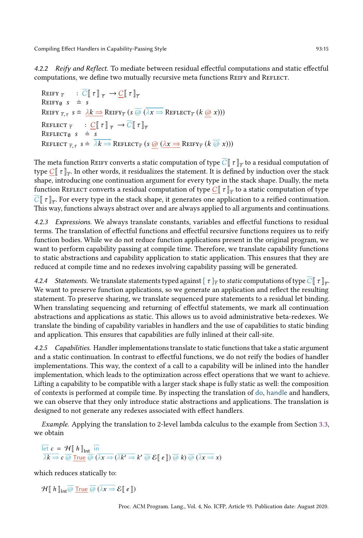4.2.2 Reify and Reflect. To mediate between residual effectful computations and static effectful computations, we define two mutually recursive meta functions REIFY and REFLECT.

REIFY  $\overline{\tau}$  :  $\overline{C} \llbracket \tau \rrbracket_{\overline{\tau}} \rightarrow \underline{C} \llbracket \tau \rrbracket_{\overline{\tau}}$ REIFY<sub>0</sub> s  $\div$  s REIFY  $\overline{\tau}, \tau \ s \doteq \ \frac{\lambda k \Rightarrow \text{REIFY}_{\overline{\tau}}(s \overline{\omega} \ (\overline{\lambda x \Rightarrow \text{REFLECT}_{\overline{\tau}}(k \underline{\omega} \ x)))$ REFLECT  $\overline{\tau}$  :  $\underline{C}[\![\tau]\!]_{\overline{\tau}} \to \overline{C}[\![\tau]\!]_{\overline{\tau}}$ REFLECT<sub> $\emptyset$ </sub> s  $\div$  s REFLECT  $\overline{\tau}, \tau$   $s \doteq \overline{\lambda k \Rightarrow}$  REFLECT  $\overline{\tau}$   $(s \circledcirc (\lambda x \Rightarrow$  REIFY  $\overline{\tau}$   $(k \circledcirc x))$ 

The meta function REIFY converts a static computation of type  $\overline{C}[\![$   $\tau]\!]_{\overline{\tau}}$  to a residual computation of type  $C[$   $\tau$   $]_{\overline{\tau}}$ . In other words, it residualizes the statement. It is defined by induction over the stack shape, introducing one continuation argument for every type in the stack shape. Dually, the meta function REFLECT converts a residual computation of type  $\underline{C}[\![\;\tau]\!]_{\overline{\tau}}$  to a static computation of type  $\overline{\mathcal{C}}\llbracket\ \tau\rrbracket_{\overline{\tau}}.$  For every type in the stack shape, it generates one application to a reified continuation. This way, functions always abstract over and are always applied to all arguments and continuations.

4.2.3 Expressions. We always translate constants, variables and effectful functions to residual terms. The translation of effectful functions and effectful recursive functions requires us to reify function bodies. While we do not reduce function applications present in the original program, we want to perform capability passing at compile time. Therefore, we translate capability functions to static abstractions and capability application to static application. This ensures that they are reduced at compile time and no redexes involving capability passing will be generated.

4.2.4 Statements. We translate statements typed against  $[~\tau~]_{\overline{\tau}}$  to static computations of type  $\overline{C}[\![~\tau~]_{\overline{\tau}}$ . We want to preserve function applications, so we generate an application and reflect the resulting statement. To preserve sharing, we translate sequenced pure statements to a residual let binding. When translating sequencing and returning of effectful statements, we mark all continuation abstractions and applications as static. This allows us to avoid administrative beta-redexes. We translate the binding of capability variables in handlers and the use of capabilities to static binding and application. This ensures that capabilities are fully inlined at their call-site.

4.2.5 Capabilities. Handler implementations translate to static functions that take a static argument and a static continuation. In contrast to effectful functions, we do not reify the bodies of handler implementations. This way, the context of a call to a capability will be inlined into the handler implementation, which leads to the optimization across effect operations that we want to achieve. Lifting a capability to be compatible with a larger stack shape is fully static as well: the composition of contexts is performed at compile time. By inspecting the translation of do, handle and handlers, we can observe that they only introduce static abstractions and applications. The translation is designed to not generate any redexes associated with effect handlers.

Example. Applying the translation to 2-level lambda calculus to the example from Section [3.3,](#page-8-0) we obtain

 $\overline{\text{let}}$  c = H[ h]<sub>Int</sub> in  $\overline{\lambda k\Rightarrow c}\ \overline{\omega}\ \overline{\text{True}}\ \overline{\omega}\ (\overline{\lambda x\Rightarrow (\overline{\lambda k'\Rightarrow k'\ \overline{\omega}\ \mathcal{E}\mathbb{F}\ e\mathbb{F})\ \overline{\omega}\ k)\ \overline{\omega}}\ (\overline{\lambda x\Rightarrow x})$ 

which reduces statically to:

 $\mathcal{H}\llbracket h \rrbracket_{\mathsf{Int}} \overline{\omega}$  True  $\overline{\omega}$   $(\overline{\lambda x} \Rightarrow \mathcal{E}\llbracket e \rrbracket)$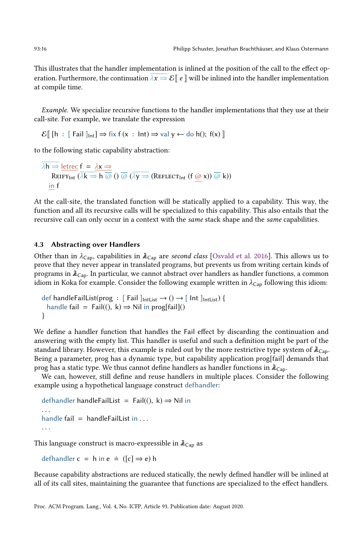This illustrates that the handler implementation is inlined at the position of the call to the effect operation. Furthermore, the continuation  $\lambda x \Rightarrow \mathcal{E} \parallel e \parallel$  will be inlined into the handler implementation at compile time.

Example. We specialize recursive functions to the handler implementations that they use at their call-site. For example, we translate the expression

 $\mathcal{E}$  [h : [ Fail ]<sub>Int</sub>]  $\Rightarrow$  fix f (x : Int)  $\Rightarrow$  val y  $\leftarrow$  do h(); f(x)]

to the following static capability abstraction:

 $\overline{\lambda h}$   $\Rightarrow$  letrec  $f = \lambda x \Rightarrow$  $REIFY_{int}$   $\overline{(\lambda k \Rightarrow h \overline{\omega})}$   $\overline{(\lambda y \Rightarrow (REFLECT_{int} (f \overline{\omega} x)) \overline{\omega} k)}$ in f

At the call-site, the translated function will be statically applied to a capability. This way, the function and all its recursive calls will be specialized to this capability. This also entails that the recursive call can only occur in a context with the same stack shape and the same capabilities.

#### 4.3 Abstracting over Handlers

Other than in  $\lambda_{\text{Cap}}$ , capabilities in  $\lambda_{\text{Cap}}$  are second class [\[Osvald et al.](#page-27-10) [2016\]](#page-27-10). This allows us to prove that they never appear in translated programs, but prevents us from writing certain kinds of programs in  $\lambda_{Cap}$ . In particular, we cannot abstract over handlers as handler functions, a common idiom in Koka for example. Consider the following example written in  $\lambda_{\text{Cap}}$  following this idiom:

```
def handleFailList(prog : [ Fail ]<sub>IntList</sub> \rightarrow () \rightarrow [ Int ]<sub>IntList</sub>) {
  handle fail = Fail((), k) \Rightarrow Nil in prog[fail]()}
```
We define a handler function that handles the Fail effect by discarding the continuation and answering with the empty list. This handler is useful and such a definition might be part of the standard library. However, this example is ruled out by the more restrictive type system of  $\lambda_{\text{Cap}}$ . Being a parameter, prog has a dynamic type, but capability application prog[fail] demands that prog has a static type. We thus cannot define handlers as handler functions in  $\lambda_{\text{Ca}p}$ .

We can, however, still define and reuse handlers in multiple places. Consider the following example using a hypothetical language construct defhandler:

```
defhandler handleFailList = Fail(
), k\Rightarrow Nil in
handle fail = handle Fail List in ...
. . .
```
This language construct is macro-expressible in  $\lambda_{\text{Cap}}$  as

defhandler c = h in e  $\div$  ([c]  $\Rightarrow$  e) h

Because capability abstractions are reduced statically, the newly defined handler will be inlined at all of its call sites, maintaining the guarantee that functions are specialized to the effect handlers.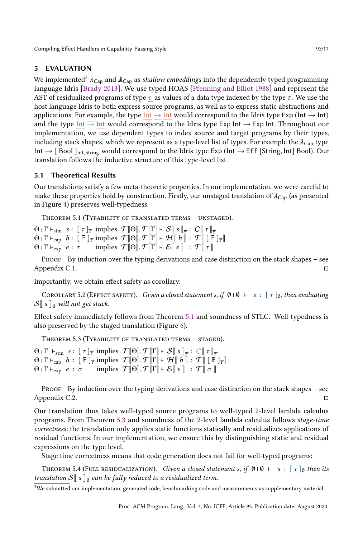# 5 EVALUATION

We implemented<sup>[3](#page-16-3)</sup>  $\lambda_{\text{Cap}}$  and  $\lambda_{\text{Cap}}$  as shallow embeddings into the dependently typed programming language Idris [\[Brady 2013\]](#page-25-12). We use typed HOAS [\[Pfenning and Elliot 1988\]](#page-27-15) and represent the AST of residualized programs of type  $\tau$  as values of a data type indexed by the type  $\tau$ . We use the host language Idris to both express source programs, as well as to express static abstractions and applications. For example, the type  $Int \rightarrow Int$  would correspond to the Idris type Exp (Int  $\rightarrow Int$ ) and the type Int  $\overline{\rightarrow}$  Int would correspond to the Idris type Exp Int  $\rightarrow$  Exp Int. Throughout our implementation, we use dependent types to index source and target programs by their types, including stack shapes, which we represent as a type-level list of types. For example the  $\lambda_{\text{Cap}}$  type Int  $\rightarrow$  [ Bool ]<sub>Int,String</sub> would correspond to the Idris type Exp (Int  $\rightarrow$  Eff [String, Int] Bool). Our translation follows the inductive structure of this type-level list.

# 5.1 Theoretical Results

Our translations satisfy a few meta-theoretic properties. In our implementation, we were careful to make these properties hold by construction. Firstly, our unstaged translation of  $\lambda_{Cap}$  (as presented in Figure [4\)](#page-9-0) preserves well-typedness.

<span id="page-16-0"></span>THEOREM 5.1 (TYPABILITY OF TRANSLATED TERMS  $-$  UNSTAGED).

 $\Theta$ <sup>|</sup>  $\Gamma$   $\vdash$   $\text{stm}$   $s$  :  $[\tau]_{\overline{\tau}}$  implies  $\mathcal{T}[\Theta], \mathcal{T}[\Gamma] \vdash \mathcal{S}[\sigma]$   $s]_{\overline{\tau}}$  :  $C[\sigma]$   $\tau]_{\overline{\tau}}$  $\Theta$  |  $\Gamma$   $\vdash_{\text{cap}} h$  :  $[ \mathbb{F} ]_{\overline{\tau}}$  implies  $\mathcal{T}[\![\Theta]\!], \mathcal{T}[\![\Gamma]\!] \vdash \mathcal{H}[\![\ \tilde{h}]\!]$  :  $\mathcal{T}[\![\ [\tilde{\mathbb{F}}\ ]_{\overline{\tau}}]\!]$  $\Theta$  |  $\Gamma$  +<sub>exp</sub>  $e: \tau$  implies  $\mathcal{T}[\![\Theta]\!], \mathcal{T}[\![\Gamma]\!]$  +  $\mathcal{E}[\![e]\!]$  :  $\mathcal{T}[\![\tau]\!]$ 

PROOF. By induction over the typing derivations and case distinction on the stack shapes – see Appendix C.1. □

Importantly, we obtain effect safety as corollary.

<span id="page-16-1"></span>COROLLARY 5.2 (EFFECT SAFETY). Given a closed statement s, if  $\emptyset \mid \emptyset \vdash s : [\tau]_{\emptyset}$ , then evaluating  $S\$  s  $\|$ <sup>0</sup> will not get stuck.

Effect safety immediately follows from Theorem [5.1](#page-16-0) and soundness of STLC. Well-typedness is also preserved by the staged translation (Figure [6\)](#page-13-0).

<span id="page-16-2"></span>THEOREM  $5.3$  (TYPABILITY OF TRANSLATED TERMS  $-$  STAGED).

 $\Theta$  |  $\Gamma$  +  $_{\text{stm}}$  s:  $[\tau]_{\overline{\tau}}$  implies  $\mathcal{T}[\hspace{-0.04cm}[ \Theta ]\hspace{-0.04cm}], \mathcal{T}[\hspace{-0.04cm}[ \Gamma ]\hspace{-0.04cm}] \vdash \mathcal{S}[\hspace{-0.04cm}[ \ s \ ]\hspace{-0.04cm}]_{\overline{\tau}}: \overline{C}[\hspace{-0.04cm}[ \ \tau ]\hspace{-0.04cm}]_{\overline{\tau}}$  $\Theta$  |  $\Gamma$   $\vdash_{\text{cap}} h$  :  $[ \mathbb{F} ]_{\overline{\tau}}$  implies  $\mathcal{T}[\hspace{-0.04cm}[ \Theta ]\hspace{-0.04cm}]$ ,  $\mathcal{T}[\hspace{-0.04cm}[ \Gamma ]\hspace{-0.04cm}]$   $\vdash \mathcal{H}[\hspace{-0.04cm}[ \hspace{-0.04cm}[ \hspace{-0.04cm} h \hspace{-0.04cm}] \hspace{-0.04cm}]$  :  $\mathcal{T}[\hspace{-0.04cm}[ \hspace{-0.04cm}[ \hspace{-0.04cm} \bar{\math$  $Θ$  | Γ  $\vdash_{\text{exp}}$  *e* : σ implies  $\mathcal{T}[\Theta], \mathcal{T}[\Gamma] \vdash \mathcal{E}[[e]]$  :  $\mathcal{T}[[\sigma]]$ 

Proof. By induction over the typing derivations and case distinction on the stack shapes – see Appendix C.2. □

Our translation thus takes well-typed source programs to well-typed 2-level lambda calculus programs. From Theorem [5.3](#page-16-2) and soundness of the 2-level lambda calculus follows stage-time correctness: the translation only applies static functions statically and residualizes applications of residual functions. In our implementation, we ensure this by distinguishing static and residual expressions on the type level.

Stage time correctness means that code generation does not fail for well-typed programs:

<span id="page-16-4"></span>THEOREM 5.4 (FULL RESIDUALIZATION). Given a closed statement s, if  $\emptyset \cup \emptyset \vdash s : [\tau]_{\emptyset}$  then its translation  $\mathcal{S}[\![\ s\ ]\!]_0$  can be fully reduced to a residualized term.

<span id="page-16-3"></span> $3$ We submitted our implementation, generated code, benchmarking code and measurements as supplementary material.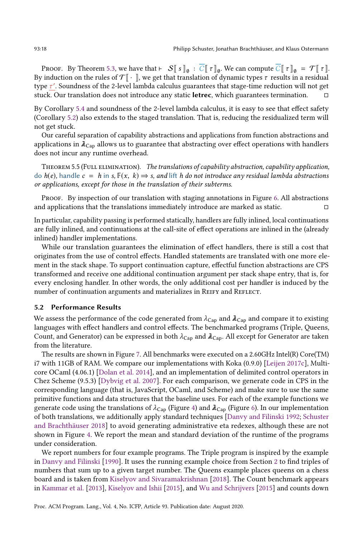Proof. By Theorem [5.3,](#page-16-2) we have that ⊦  $S[\![s]\!]_{\emptyset}$  :  $\overline{C}[\![\;r]\!]_{\emptyset}$ . We can compute  $\overline{C}[\![\;r]\!]_{\emptyset} = \mathcal{T}[\![\;r]\!]$ . By induction on the rules of  $\mathcal{T}$  | \, we get that translation of dynamic types  $\tau$  results in a residual type τ ′ . Soundness of the 2-level lambda calculus guarantees that stage-time reduction will not get stuck. Our translation does not introduce any static letrec, which guarantees termination.  $□$ 

By Corollary [5.4](#page-16-4) and soundness of the 2-level lambda calculus, it is easy to see that effect safety (Corollary [5.2\)](#page-16-1) also extends to the staged translation. That is, reducing the residualized term will not get stuck.

Our careful separation of capability abstractions and applications from function abstractions and applications in  $\lambda_{\text{Cap}}$  allows us to guarantee that abstracting over effect operations with handlers does not incur any runtime overhead.

<span id="page-17-0"></span>THEOREM 5.5 (FULL ELIMINATION). The translations of capability abstraction, capability application, do  $h(e)$ , handle  $c = h$  in s,  $\mathbb{F}(x, k) \Rightarrow s$ , and lift h do not introduce any residual lambda abstractions or applications, except for those in the translation of their subterms.

Proof. By inspection of our translation with staging annotations in Figure [6.](#page-13-0) All abstractions and applications that the translations immediately introduce are marked as static.  $□$ 

In particular, capability passing is performed statically, handlers are fully inlined, local continuations are fully inlined, and continuations at the call-site of effect operations are inlined in the (already inlined) handler implementations.

While our translation guarantees the elimination of effect handlers, there is still a cost that originates from the use of control effects. Handled statements are translated with one more element in the stack shape. To support continuation capture, effectful function abstractions are CPS transformed and receive one additional continuation argument per stack shape entry, that is, for every enclosing handler. In other words, the only additional cost per handler is induced by the number of continuation arguments and materializes in REIFY and REFLECT.

### <span id="page-17-1"></span>5.2 Performance Results

We assess the performance of the code generated from  $\lambda_{Cap}$  and  $\lambda_{Cap}$  and compare it to existing languages with effect handlers and control effects. The benchmarked programs (Triple, Queens, Count, and Generator) can be expressed in both  $\lambda_{\text{Cap}}$  and  $\lambda_{\text{Cap}}$ . All except for Generator are taken from the literature.

The results are shown in Figure [7.](#page-18-0) All benchmarks were executed on a 2.60GHz Intel(R) Core(TM) i7 with 11GB of RAM. We compare our implementations with Koka (0.9.0) [\[Leijen 2017c\]](#page-26-8), Multicore OCaml (4.06.1) [\[Dolan et al.](#page-26-6) [2014\]](#page-26-6), and an implementation of delimited control operators in Chez Scheme (9.5.3) [\[Dybvig et al.](#page-26-18) [2007\]](#page-26-18). For each comparison, we generate code in CPS in the corresponding language (that is, JavaScript, OCaml, and Scheme) and make sure to use the same primitive functions and data structures that the baseline uses. For each of the example functions we generate code using the translations of  $\lambda_{Cap}$  (Figure [4\)](#page-9-0) and  $\lambda_{Cap}$  (Figure [6\)](#page-13-0). In our implementation of both translations, we additionally apply standard techniques [\[Danvy and Filinski 1992;](#page-25-11) [Schuster](#page-27-8) [and Brachthäuser 2018\]](#page-27-8) to avoid generating administrative eta redexes, although these are not shown in Figure [4.](#page-9-0) We report the mean and standard deviation of the runtime of the programs under consideration.

We report numbers for four example programs. The Triple program is inspired by the example in [Danvy and Filinski](#page-25-4) [\[1990\]](#page-25-4). It uses the running example choice from Section [2](#page-2-0) to find triples of numbers that sum up to a given target number. The Queens example places queens on a chess board and is taken from [Kiselyov and Sivaramakrishnan](#page-26-19) [\[2018\]](#page-26-19). The Count benchmark appears in [Kammar et al.](#page-26-3) [\[2013\]](#page-26-3), [Kiselyov and Ishii](#page-26-20) [\[2015\]](#page-26-20), and [Wu and Schrijvers](#page-27-5) [\[2015\]](#page-27-5) and counts down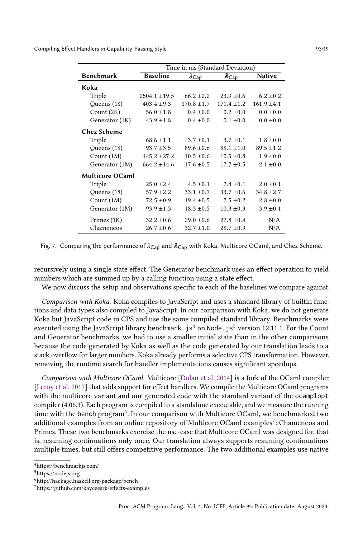<span id="page-18-0"></span>

|                        | Time in ms (Standard Deviation) |                     |                     |                 |  |
|------------------------|---------------------------------|---------------------|---------------------|-----------------|--|
| <b>Benchmark</b>       | <b>Baseline</b>                 | $\lambda_{\rm Cap}$ | $\lambda_{\rm Cap}$ | <b>Native</b>   |  |
| Koka                   |                                 |                     |                     |                 |  |
| Triple                 | $2504.1 \pm 19.5$               | $66.2 \pm 2.2$      | $23.9 \pm 0.6$      | $6.2 \pm 0.2$   |  |
| Queens (18)            | $403.4 \pm 9.3$                 | $170.8 \pm 1.7$     | $171.4 + 1.2$       | $161.9 \pm 4.1$ |  |
| Count $(2K)$           | $56.0 \pm 1.8$                  | $0.4 \pm 0.0$       | $0.2 \pm 0.0$       | $0.0 \pm 0.0$   |  |
| Generator (1K)         | $43.9 \pm 1.8$                  | $0.4 \pm 0.0$       | $0.1 \pm 0.0$       | $0.0 \pm 0.0$   |  |
| <b>Chez Scheme</b>     |                                 |                     |                     |                 |  |
| Triple                 | $68.6 + 1.1$                    | $3.7 + 0.1$         | $3.7 + 0.1$         | $1.8 + 0.0$     |  |
| Queens (18)            | $93.7 \pm 3.5$                  | $89.6 \pm 0.6$      | $88.1 \pm 1.0$      | $89.5 \pm 1.2$  |  |
| Count $(1M)$           | $445.2 \pm 27.2$                | $10.5 \pm 0.6$      | $10.5 \pm 0.8$      | $1.9 \pm 0.0$   |  |
| Generator (1M)         | $664.2 \pm 14.6$                | $17.6 \pm 0.5$      | $17.7 \pm 0.5$      | $2.1 \pm 0.0$   |  |
| <b>Multicore OCaml</b> |                                 |                     |                     |                 |  |
| Triple                 | $25.0 \pm 2.4$                  | $4.5 \pm 0.1$       | $2.4 + 0.1$         | $2.0 + 0.1$     |  |
| Queens (18)            | $57.9 \pm 2.2$                  | $33.1 \pm 0.7$      | $33.7 \pm 0.6$      | $34.8 \pm 2.7$  |  |
| Count $(1M)$           | $72.5 \pm 0.9$                  | $19.4 \pm 0.5$      | $7.5 \pm 0.2$       | $2.8 \pm 0.0$   |  |
| Generator (1M)         | $93.9 \pm 1.3$                  | $18.3 \pm 0.5$      | $10.3 \pm 0.3$      | $3.9 \pm 0.1$   |  |
| Primes (1K)            | $32.2 \pm 0.6$                  | $29.0 \pm 0.6$      | $22.8 + 0.4$        | N/A             |  |
| Chameneos              | $26.7 \pm 0.6$                  | $32.7 \pm 1.0$      | $28.7 \pm 0.9$      | N/A             |  |

Fig. 7. Comparing the performance of  $\lambda_{\text{Cap}}$  and  $\lambda_{\text{Cap}}$  with Koka, Multicore OCaml, and Chez Scheme.

recursively using a single state effect. The Generator benchmark uses an effect operation to yield numbers which are summed up by a calling function using a state effect.

We now discuss the setup and observations specific to each of the baselines we compare against.

Comparison with Koka. Koka compiles to JavaScript and uses a standard library of builtin functions and data types also compiled to JavaScript. In our comparison with Koka, we do not generate Koka but JavaScript code in CPS and use the same compiled standard library. Benchmarks were executed using the JavaScript library benchmark.  $j s<sup>4</sup>$  $j s<sup>4</sup>$  $j s<sup>4</sup>$  on Node.  $j s<sup>5</sup>$  $j s<sup>5</sup>$  $j s<sup>5</sup>$  version 12.11.1. For the Count and Generator benchmarks, we had to use a smaller initial state than in the other comparisons because the code generated by Koka as well as the code generated by our translation leads to a stack overflow for larger numbers. Koka already performs a selective CPS transformation. However, removing the runtime search for handler implementations causes significant speedups.

Comparison with Multicore OCaml. Multicore [\[Dolan et al.](#page-26-6) [2014\]](#page-26-6) is a fork of the OCaml compiler [\[Leroy et al.](#page-26-21) [2017\]](#page-26-21) that adds support for effect handlers. We compile the Multicore OCaml programs with the multicore variant and our generated code with the standard variant of the ocamplopt compiler (4.06.1). Each program is compiled to a standalone executable, and we measure the running time with the bench program<sup>[6](#page-18-3)</sup>. In our comparison with Multicore OCaml, we benchmarked two additional examples from an online repository of Multicore OCaml examples $^7\colon$  $^7\colon$  $^7\colon$  Chameneos and Primes. These two benchmarks exercise the use-case that Multicore OCaml was designed for, that is, resuming continuations only once. Our translation always supports resuming continuations multiple times, but still offers competitive performance. The two additional examples use native

<span id="page-18-1"></span> $^4$ https://benchmarkjs.com/

<span id="page-18-2"></span><sup>5</sup>https://nodejs.org

<span id="page-18-3"></span><sup>6</sup>http://hackage.haskell.org/package/bench

<span id="page-18-4"></span><sup>7</sup>https://github.com/kayceesrk/effects-examples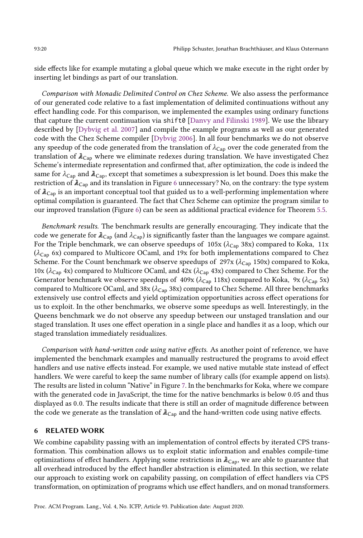side effects like for example mutating a global queue which we make execute in the right order by inserting let bindings as part of our translation.

Comparison with Monadic Delimited Control on Chez Scheme. We also assess the performance of our generated code relative to a fast implementation of delimited continuations without any effect handling code. For this comparison, we implemented the examples using ordinary functions that capture the current continuation via shift0 [\[Danvy and Filinski 1989\]](#page-25-10). We use the library described by [\[Dybvig et al.](#page-26-18) [2007\]](#page-26-18) and compile the example programs as well as our generated code with the Chez Scheme compiler [\[Dybvig 2006\]](#page-26-9). In all four benchmarks we do not observe any speedup of the code generated from the translation of  $\lambda_{\text{Cap}}$  over the code generated from the translation of  $\lambda_{\text{Cap}}$  where we eliminate redexes during translation. We have investigated Chez Scheme's intermediate representation and confirmed that, after optimization, the code is indeed the same for  $\lambda_{\text{Cap}}$  and  $\lambda_{\text{Cap}}$ , except that sometimes a subexpression is let bound. Does this make the restriction of  $\lambda_{\text{Cap}}$  and its translation in Figure [6](#page-13-0) unnecessary? No, on the contrary: the type system of  $\lambda_{\text{Cap}}$  is an important conceptual tool that guided us to a well-performing implementation where optimal compilation is guaranteed. The fact that Chez Scheme can optimize the program similar to our improved translation (Figure [6\)](#page-13-0) can be seen as additional practical evidence for Theorem [5.5.](#page-17-0)

Benchmark results. The benchmark results are generally encouraging. They indicate that the code we generate for  $\lambda_{Cap}$  (and  $\lambda_{Cap}$ ) is significantly faster than the languages we compare against. For the Triple benchmark, we can observe speedups of  $105x (\lambda_{Cap} 38x)$  compared to Koka,  $11x$  $(\lambda_{Cap}$  6x) compared to Multicore OCaml, and 19x for both implementations compared to Chez Scheme. For the Count benchmark we observe speedups of 297x ( $\lambda_{Cap}$  150x) compared to Koka, 10x ( $\lambda$ <sub>Cap</sub> 4x) compared to Multicore OCaml, and 42x ( $\lambda$ <sub>Cap</sub> 43x) compared to Chez Scheme. For the Generator benchmark we observe speedups of 409x ( $\lambda_{\text{Cap}}$  118x) compared to Koka, 9x ( $\lambda_{\text{Cap}}$  5x) compared to Multicore OCaml, and 38x ( $\lambda_{\text{Cap}}$  38x) compared to Chez Scheme. All three benchmarks extensively use control effects and yield optimization opportunities across effect operations for us to exploit. In the other benchmarks, we observe some speedups as well. Interestingly, in the Queens benchmark we do not observe any speedup between our unstaged translation and our staged translation. It uses one effect operation in a single place and handles it as a loop, which our staged translation immediately residualizes.

Comparison with hand-written code using native effects. As another point of reference, we have implemented the benchmark examples and manually restructured the programs to avoid effect handlers and use native effects instead. For example, we used native mutable state instead of effect handlers. We were careful to keep the same number of library calls (for example append on lists). The results are listed in column "Native" in Figure [7.](#page-18-0) In the benchmarks for Koka, where we compare with the generated code in JavaScript, the time for the native benchmarks is below 0.05 and thus displayed as 0.0. The results indicate that there is still an order of magnitude difference between the code we generate as the translation of  $\lambda_{Cap}$  and the hand-written code using native effects.

### 6 RELATED WORK

We combine capability passing with an implementation of control effects by iterated CPS transformation. This combination allows us to exploit static information and enables compile-time optimizations of effect handlers. Applying some restrictions in  $\lambda_{Cap}$ , we are able to guarantee that all overhead introduced by the effect handler abstraction is eliminated. In this section, we relate our approach to existing work on capability passing, on compilation of effect handlers via CPS transformation, on optimization of programs which use effect handlers, and on monad transformers.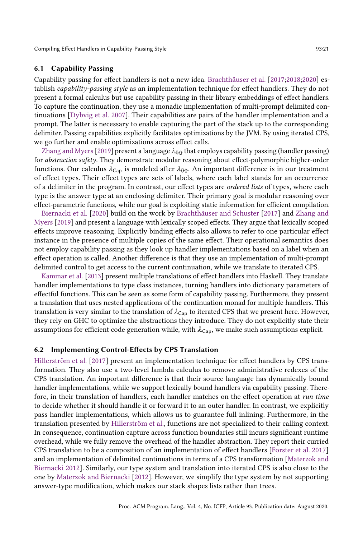# <span id="page-20-0"></span>6.1 Capability Passing

Capability passing for effect handlers is not a new idea. [Brachthäuser et al.](#page-25-3) [\[2017;](#page-25-2)[2018](#page-25-13)[;2020\]](#page-25-3) establish capability-passing style as an implementation technique for effect handlers. They do not present a formal calculus but use capability passing in their library embeddings of effect handlers. To capture the continuation, they use a monadic implementation of multi-prompt delimited continuations [\[Dybvig et al.](#page-26-18) [2007\]](#page-26-18). Their capabilities are pairs of the handler implementation and a prompt. The latter is necessary to enable capturing the part of the stack up to the corresponding delimiter. Passing capabilities explicitly facilitates optimizations by the JVM. By using iterated CPS, we go further and enable optimizations across effect calls.

Zhang and Myers [2019] present a language  $\lambda_{\theta\Omega}$  that employs capability passing (handler passing) for abstraction safety. They demonstrate modular reasoning about effect-polymorphic higher-order functions. Our calculus  $\lambda_{\text{Cap}}$  is modeled after  $\lambda_{\text{PQ}}$ . An important difference is in our treatment of effect types. Their effect types are sets of labels, where each label stands for an occurrence of a delimiter in the program. In contrast, our effect types are ordered lists of types, where each type is the answer type at an enclosing delimiter. Their primary goal is modular reasoning over effect-parametric functions, while our goal is exploiting static information for efficient compilation.

[Biernacki et al.](#page-25-1) [\[2020\]](#page-25-1) build on the work by [Brachthäuser and Schuster](#page-25-2) [\[2017\]](#page-25-2) and [Zhang and](#page-27-7) [Myers](#page-27-7) [\[2019\]](#page-27-7) and present a language with lexically scoped effects. They argue that lexically scoped effects improve reasoning. Explicitly binding effects also allows to refer to one particular effect instance in the presence of multiple copies of the same effect. Their operational semantics does not employ capability passing as they look up handler implementations based on a label when an effect operation is called. Another difference is that they use an implementation of multi-prompt delimited control to get access to the current continuation, while we translate to iterated CPS.

[Kammar et al.](#page-26-3) [\[2013\]](#page-26-3) present multiple translations of effect handlers into Haskell. They translate handler implementations to type class instances, turning handlers into dictionary parameters of effectful functions. This can be seen as some form of capability passing. Furthermore, they present a translation that uses nested applications of the continuation monad for multiple handlers. This translation is very similar to the translation of  $\lambda_{Cap}$  to iterated CPS that we present here. However, they rely on GHC to optimize the abstractions they introduce. They do not explicitly state their assumptions for efficient code generation while, with  $\lambda_{\text{Cap}}$ , we make such assumptions explicit.

#### 6.2 Implementing Control-Effects by CPS Translation

[Hillerström et al.](#page-26-7) [\[2017\]](#page-26-7) present an implementation technique for effect handlers by CPS transformation. They also use a two-level lambda calculus to remove administrative redexes of the CPS translation. An important difference is that their source language has dynamically bound handler implementations, while we support lexically bound handlers via capability passing. Therefore, in their translation of handlers, each handler matches on the effect operation at run time to decide whether it should handle it or forward it to an outer handler. In contrast, we explicitly pass handler implementations, which allows us to guarantee full inlining. Furthermore, in the translation presented by [Hillerström et al.,](#page-26-7) functions are not specialized to their calling context. In consequence, continuation capture across function boundaries still incurs significant runtime overhead, while we fully remove the overhead of the handler abstraction. They report their curried CPS translation to be a composition of an implementation of effect handlers [\[Forster et al.](#page-26-15) [2017\]](#page-26-15) and an implementation of delimited continuations in terms of a CPS transformation [\[Materzok and](#page-26-14) [Biernacki 2012\]](#page-26-14). Similarly, our type system and translation into iterated CPS is also close to the one by [Materzok and Biernacki](#page-26-14) [\[2012\]](#page-26-14). However, we simplify the type system by not supporting answer-type modification, which makes our stack shapes lists rather than trees.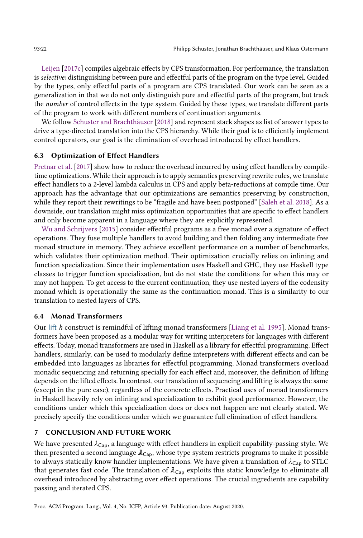[Leijen](#page-26-8) [\[2017c\]](#page-26-8) compiles algebraic effects by CPS transformation. For performance, the translation is selective: distinguishing between pure and effectful parts of the program on the type level. Guided by the types, only effectful parts of a program are CPS translated. Our work can be seen as a generalization in that we do not only distinguish pure and effectful parts of the program, but track the number of control effects in the type system. Guided by these types, we translate different parts of the program to work with different numbers of continuation arguments.

We follow [Schuster and Brachthäuser](#page-27-8) [\[2018\]](#page-27-8) and represent stack shapes as list of answer types to drive a type-directed translation into the CPS hierarchy. While their goal is to efficiently implement control operators, our goal is the elimination of overhead introduced by effect handlers.

# 6.3 Optimization of Effect Handlers

[Pretnar et al.](#page-27-4) [\[2017\]](#page-27-4) show how to reduce the overhead incurred by using effect handlers by compiletime optimizations. While their approach is to apply semantics preserving rewrite rules, we translate effect handlers to a 2-level lambda calculus in CPS and apply beta-reductions at compile time. Our approach has the advantage that our optimizations are semantics preserving by construction, while they report their rewritings to be "fragile and have been postponed" [\[Saleh et al.](#page-27-16) [2018\]](#page-27-16). As a downside, our translation might miss optimization opportunities that are specific to effect handlers and only become apparent in a language where they are explicitly represented.

[Wu and Schrijvers](#page-27-5) [\[2015\]](#page-27-5) consider effectful programs as a free monad over a signature of effect operations. They fuse multiple handlers to avoid building and then folding any intermediate free monad structure in memory. They achieve excellent performance on a number of benchmarks, which validates their optimization method. Their optimization crucially relies on inlining and function specialization. Since their implementation uses Haskell and GHC, they use Haskell type classes to trigger function specialization, but do not state the conditions for when this may or may not happen. To get access to the current continuation, they use nested layers of the codensity monad which is operationally the same as the continuation monad. This is a similarity to our translation to nested layers of CPS.

# 6.4 Monad Transformers

Our lift h construct is remindful of lifting monad transformers [\[Liang et al.](#page-26-22) [1995\]](#page-26-22). Monad transformers have been proposed as a modular way for writing interpreters for languages with different effects. Today, monad transformers are used in Haskell as a library for effectful programming. Effect handlers, similarly, can be used to modularly define interpreters with different effects and can be embedded into languages as libraries for effectful programming. Monad transformers overload monadic sequencing and returning specially for each effect and, moreover, the definition of lifting depends on the lifted effects. In contrast, our translation of sequencing and lifting is always the same (except in the pure case), regardless of the concrete effects. Practical uses of monad transformers in Haskell heavily rely on inlining and specialization to exhibit good performance. However, the conditions under which this specialization does or does not happen are not clearly stated. We precisely specify the conditions under which we guarantee full elimination of effect handlers.

# 7 CONCLUSION AND FUTURE WORK

We have presented  $\lambda_{\textsf{Cap}}$ , a language with effect handlers in explicit capability-passing style. We then presented a second language  $\lambda_{Cap}$ , whose type system restricts programs to make it possible to always statically know handler implementations. We have given a translation of  $\lambda_{\text{Cap}}$  to STLC that generates fast code. The translation of  $\lambda_{\text{Cap}}$  exploits this static knowledge to eliminate all overhead introduced by abstracting over effect operations. The crucial ingredients are capability passing and iterated CPS.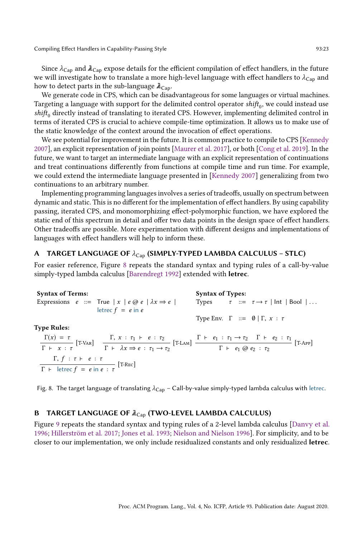Since  $\lambda_{Cap}$  and  $\lambda_{Cap}$  expose details for the efficient compilation of effect handlers, in the future we will investigate how to translate a more high-level language with effect handlers to  $\lambda_{Cap}$  and how to detect parts in the sub-language  $\lambda c_{\text{ao}}$ .

We generate code in CPS, which can be disadvantageous for some languages or virtual machines. Targeting a language with support for the delimited control operator  $\mathit{shift}_0$ , we could instead use  $\textit{shift}_0$  directly instead of translating to iterated CPS. However, implementing delimited control in terms of iterated CPS is crucial to achieve compile-time optimization. It allows us to make use of the static knowledge of the context around the invocation of effect operations.

We see potential for improvement in the future. It is common practice to compile to CPS [\[Kennedy](#page-26-23) [2007\]](#page-26-23), an explicit representation of join points [\[Maurer et al.](#page-26-24) [2017\]](#page-26-24), or both [\[Cong et al.](#page-25-14) [2019\]](#page-25-14). In the future, we want to target an intermediate language with an explicit representation of continuations and treat continuations differently from functions at compile time and run time. For example, we could extend the intermediate language presented in [\[Kennedy 2007\]](#page-26-23) generalizing from two continuations to an arbitrary number.

Implementing programming languages involves a series of tradeoffs, usually on spectrum between dynamic and static. This is no different for the implementation of effect handlers. By using capability passing, iterated CPS, and monomorphizing effect-polymorphic function, we have explored the static end of this spectrum in detail and offer two data points in the design space of effect handlers. Other tradeoffs are possible. More experimentation with different designs and implementations of languages with effect handlers will help to inform these.

# A TARGET LANGUAGE OF  $\lambda_{Cap}$  (SIMPLY-TYPED LAMBDA CALCULUS - STLC)

For easier reference, Figure [8](#page-22-0) repeats the standard syntax and typing rules of a call-by-value simply-typed lambda calculus [\[Barendregt 1992\]](#page-25-9) extended with letrec.

<span id="page-22-0"></span>Syntax of Terms: Expressions  $e ::= True | x | e @ e | \lambda x \Rightarrow e |$ letrec  $f = e$  in  $e$ Syntax of Types: Types  $\tau$  ::=  $\tau \rightarrow \tau$  | Int | Bool | ... Type Env.  $\Gamma$  ::=  $\emptyset | \Gamma, x : \tau$ Type Rules:  $\Gamma(x) = \tau$  $\Gamma(x) = \tau$ <br>  $\Gamma + x : \tau$  [T-VAR]  $\Gamma$ ,  $x : \tau_1 \vdash e : \tau_2$ <br>  $\Gamma$  +  $x : \tau$   $\Gamma$  +  $\lambda x \Rightarrow e : \tau_1 \rightarrow$  $\Gamma$ ,  $x : \tau_1 \vdash e : \tau_2$ <br>  $\Gamma \vdash \lambda x \Rightarrow e : \tau_1 \rightarrow \tau_2$  [T-LAM]  $\frac{\Gamma \vdash e_1 : \tau_1 \rightarrow \tau_2 \quad \Gamma \vdash e_2 : \tau_1}{\Gamma \vdash e_1 \otimes e_2 : \tau_2}$  $\Gamma$  +  $e_1$  ( $\overline{e}_2$  :  $\tau_2$  [T-App]  $\Gamma$ ,  $f : \tau \vdash e : \tau$  $\Gamma$  + letrec  $f = e$  in  $e : \tau$  [T-Rec]

Fig. 8. The target language of translating  $\lambda_{\text{Cap}}$  – Call-by-value simply-typed lambda calculus with letrec.

### B TARGET LANGUAGE OF  $\lambda_{\text{Cap}}$  (TWO-LEVEL LAMBDA CALCULUS)

Figure [9](#page-23-0) repeats the standard syntax and typing rules of a 2-level lambda calculus [\[Danvy et al.](#page-26-25) [1996;](#page-26-25) [Hillerström et al.](#page-26-7) [2017;](#page-26-7) [Jones et al.](#page-26-17) [1993;](#page-26-17) [Nielson and Nielson 1996\]](#page-26-16). For simplicity, and to be closer to our implementation, we only include residualized constants and only residualized letrec.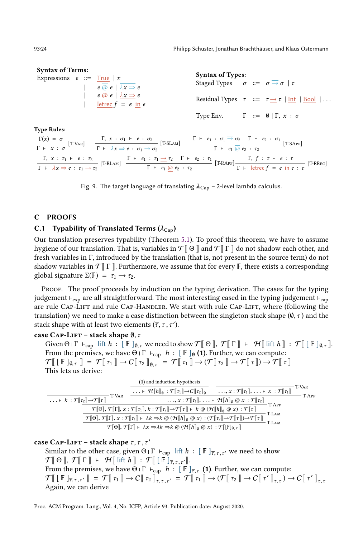93:24 Philipp Schuster, Jonathan Brachthäuser, and Klaus Ostermann

<span id="page-23-0"></span>

| <b>Syntax of Terms:</b>      |  |  |                                                                                           |                                                                                       |  |  |                                                                |
|------------------------------|--|--|-------------------------------------------------------------------------------------------|---------------------------------------------------------------------------------------|--|--|----------------------------------------------------------------|
| Expressions $e ::= True   x$ |  |  | $e \overline{Q} e  \overline{\lambda x} \Rightarrow e$                                    | <b>Syntax of Types:</b><br>Staged Types $\sigma ::= \sigma \rightarrow \sigma   \tau$ |  |  |                                                                |
|                              |  |  | $e \overline{\omega} e \overline{\lambda} x \Rightarrow e$<br>$\vert$ letrec $f = e$ in e |                                                                                       |  |  | Residual Types $\tau$ ::= $\tau \rightarrow \tau$   Int   Bool |
|                              |  |  |                                                                                           | Type Env. $\Gamma ::= \emptyset   \Gamma, x : \sigma$                                 |  |  |                                                                |

Type Rules:  $\Gamma(x) = \sigma$  $\Gamma(x) = \sigma$ <br>  $\Gamma + x : \sigma$  [T-VAR]  $\Gamma + \overline{\lambda x} \Rightarrow e : \sigma_1 \Rightarrow \overline{\Gamma}$  $\begin{array}{cc} \Gamma, \ x \, : \, \sigma_1 \, \vdash \, e \, : \, \sigma_2 \ \Gamma \, \vdash \, \overline{\lambda x \Rightarrow} \, e \, : \, \sigma_1 \overline{\rightarrow} \, \sigma_2 \end{array}$   $\begin{array}{cc} \Gamma \vdash \, e_1 \, : \, \sigma_1 \overline{\rightarrow} \, \sigma_2 \quad \Gamma \, \vdash \, e_2 \, : \, \sigma_1 \ \Gamma \vdash \, e_1 \, \overline{\omega} \, e_2 \, : \, \tau_2 \end{array}$  $\Gamma$  +  $e_1$   $\overline{\omega}$   $e_2$  :  $\tau_2$  [T-SApp] Γ,  $x$  :  $\tau_1$  ⊦ e :  $\tau_2$  $\frac{\Gamma}{\Gamma}$ ,  $x : \tau_1 \vdash e : \tau_2$ <br>  $\frac{\Gamma}{\Gamma}$  +  $\frac{\lambda x \Rightarrow e : \tau_1 \rightarrow \tau_2}{}$  [T-RLAM]  $\frac{\Gamma \vdash e_1 : \tau_1 \rightarrow \tau_2 \quad \Gamma \vdash e_2 : \tau_1}{\Gamma \vdash e_1 \circledcirc e_2 : \tau_2}$  $\frac{\tau_1 \rightarrow \tau_2 \quad \Gamma \vdash e_2 : \tau_1}{\Gamma \vdash e_1 \text{ @ } e_2 : \tau_2}$  [T-RApp]  $\frac{\Gamma, f : \tau \vdash e : \tau_1}{\Gamma \vdash \text{letterc } f = e \text{ in } e_1}$  $\Gamma$  + <u>letrec</u>  $f = e$  in  $e : \tau$  [T-RRec]

Fig. 9. The target language of translating  $\lambda_{\text{Cap}}$  – 2-level lambda calculus.

# C PROOFS

### C.1 Typability of Translated Terms ( $\lambda_{\text{Cap}}$ )

Our translation preserves typability (Theorem [5.1\)](#page-16-0). To proof this theorem, we have to assume hygiene of our translation. That is, variables in  $\mathcal{T} \llbracket \Theta \rrbracket$  and  $\mathcal{T} \llbracket \Gamma \rrbracket$  do not shadow each other, and fresh variables in Γ, introduced by the translation (that is, not present in the source term) do not shadow variables in  $\mathcal{T}$   $\Gamma$   $\parallel$ . Furthermore, we assume that for every  $\mathbb{F}$ , there exists a corresponding global signature  $\Sigma(\mathbb{F}) = \tau_1 \rightarrow \tau_2$ .

Proof. The proof proceeds by induction on the typing derivation. The cases for the typing judgement  $\vdash_{\text{exp}}$  are all straightforward. The most interesting cased in the typing judgement  $\vdash_{\text{cap}}$ are rule Cap-Lift and rule Cap-Handler. We start with rule Cap-Lift, where (following the translation) we need to make a case distinction between the singleton stack shape  $(\emptyset, \tau)$  and the stack shape with at least two elements  $(\overline{\tau}, \tau, \tau').$ 

# case CAP-LIFT – stack shape  $\emptyset$ ,  $\tau$

Given Θ Ι Γ  $\vdash_{cap}$  lift  $h : [\mathbb{F}]_{0,\tau}$  we need to show  $\mathcal{T}[\![\,\Theta\,]]$ ,  $\mathcal{T}[\![\,\Gamma\,]] \vdash \mathcal{H}[\![\,\ln\,]\!]: \mathcal{T}[\![\,[\,\mathbb{F}\,]_{0,\tau}]]$ . From the premises, we have Θ Ι Γ  $\vdash_{cap} h : [F]_{\emptyset} (1)$ . Further, we can compute:  $\mathcal{T}\llbracket [\![\mathbb{F}\!]_{0,\tau} \!] = \mathcal{T}\llbracket [\![\tau_1\!]\!] \to C\llbracket [\![\tau_2\!]\!]_{0,\tau} = \mathcal{T}\llbracket [\![\tau_1\!]\!] \to (\mathcal{T}\llbracket [\![\tau_2\!]\!] \to \mathcal{T}\llbracket [\![\tau\!]\!]\!) \to \mathcal{T}\llbracket [\![\tau\!]\rrbracket$ This lets us derive:

|                                                                                   | (1) and induction hypothesis                                                                                                                                                                                                                               |                                                                                                                     |       | T-Var |
|-----------------------------------------------------------------------------------|------------------------------------------------------------------------------------------------------------------------------------------------------------------------------------------------------------------------------------------------------------|---------------------------------------------------------------------------------------------------------------------|-------|-------|
| T-VAR                                                                             | $\ldots \vdash \mathcal{H}[[h]]_0 : \mathcal{T}[[\tau_1]] \rightarrow C[[\tau_2]]_0$                                                                                                                                                                       | , $x : \mathcal{T}[[\tau_1]], \ldots \vdash x : \mathcal{T}[[\tau_1]]$                                              |       | T-APP |
| $\ldots \vdash k : \mathcal{T}[\![\tau_2]\!] \rightarrow \mathcal{T}[\![\tau]\!]$ |                                                                                                                                                                                                                                                            | $\ldots, x : \mathcal{T}[\![\tau_1]\!], \ldots \vdash \mathcal{H}[\![h]\!]_0 \otimes x : \mathcal{T}[\![\tau_2]\!]$ | T-APP |       |
|                                                                                   | $\mathcal{T}[\![\Theta]\!],\,\mathcal{T}[\![\Gamma]\!],\,x:\mathcal{T}[\![\tau_1]\!],\,k:\mathcal{T}[\![\tau_2]\!]\!\rightarrow\!\mathcal{T}[\![\tau]\!]\vdash k \oslash (\mathcal{H}[\![h]\!]_0 \oslash x): \mathcal{T}[\![\tau]\!]$                      |                                                                                                                     |       |       |
|                                                                                   | $\mathcal{T}[\![\Theta]\!],\,\mathcal{T}[\![\Gamma]\!],\,x:\mathcal{T}[\![\tau_1]\!]\vdash \lambda k \Rightarrow k\textup{ @ }(\mathcal{H}[\![h]\!]_0\textup{ @ }x) : (\mathcal{T}[\![\tau_2]\!]\to\mathcal{T}[\![\tau]\!])\to \mathcal{T}[\![\tau]\!]\!]$ |                                                                                                                     | T-LAM |       |
|                                                                                   | $\mathcal{T}[\![\Theta]\!], \mathcal{T}[\![\Gamma]\!] \vdash \lambda x \Rightarrow \lambda k \Rightarrow k \omega (\mathcal{H}[\![h]\!]_0 \omega x) : \mathcal{T}[\![[\![\mathbb{F}]\!]_{0,\tau}]\!]$                                                      |                                                                                                                     | T-LAM |       |

# case CAP-LIFT – stack shape  $\overline{\tau}$ ,  $\tau$ ,  $\tau'$

Similar to the other case, given  $\Theta \upharpoonright \Gamma + \text{cap}$  lift  $h : [\mathbb{F}]_{\overline{\tau}, \tau, \tau'}$  we need to show  $\mathcal{T}[\![\,\Theta\,]\!]$ ,  $\mathcal{T}[\![\,\Gamma\,]\!]$  +  $\mathcal{H}[\![\,\mathsf{lift}\,h\,]\!]$  :  $\mathcal{T}[\![\,[\,\mathbb{F}\,]_{\overline{\tau},\tau,\tau'}\,]\!]$ . From the premises, we have  $\Theta \upharpoonright \Gamma +_{\text{cap}} h : [\mathbb{F}]_{\overline{\tau},\tau}$  (1). Further, we can compute:  $\mathcal{T} \llbracket [\mathbb{F} ]_{\overline{\tau},\tau,\tau'} \rrbracket = \mathcal{T} \llbracket \tau_1 \rrbracket \rightarrow C \llbracket \tau_2 \rrbracket_{\overline{\tau},\tau} \rightarrow C \llbracket \tau' \rrbracket_{\overline{\tau},\tau} \rightarrow C \llbracket \tau' \rrbracket_{\overline{\tau},\tau}$ Again, we can derive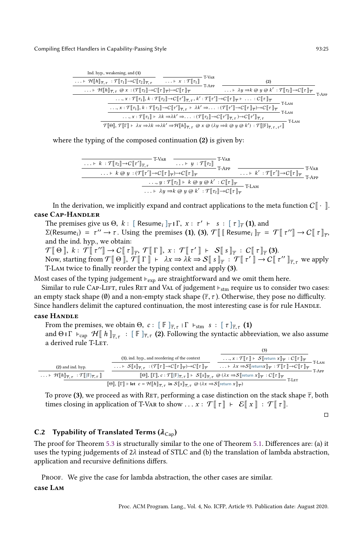| Ind. hyp., weakening, and (1)                                                                                                                                                         |                                                                                                                                                                                                                                      |                                                                                                                                                                                                                                                                                                                           |                                                                                                                                  |       |       |
|---------------------------------------------------------------------------------------------------------------------------------------------------------------------------------------|--------------------------------------------------------------------------------------------------------------------------------------------------------------------------------------------------------------------------------------|---------------------------------------------------------------------------------------------------------------------------------------------------------------------------------------------------------------------------------------------------------------------------------------------------------------------------|----------------------------------------------------------------------------------------------------------------------------------|-------|-------|
| $\dots \vdash \mathcal{H}\llbracket h \rrbracket_{\overline{\tau}, \tau} : \mathcal{T}\llbracket \tau_1 \rrbracket \rightarrow C\llbracket \tau_2 \rrbracket_{\overline{\tau}, \tau}$ |                                                                                                                                                                                                                                      | T-Var<br>$\ldots \vdash x : \mathcal{T}[\![\tau_1]\!]$<br>T-APP                                                                                                                                                                                                                                                           | (2)                                                                                                                              |       |       |
|                                                                                                                                                                                       | $\ldots \vdash \mathcal{H}\llbracket h \rrbracket_{\overline{\tau}, \tau} \otimes x : (\mathcal{T}\llbracket \tau_2 \rrbracket \to C\llbracket \tau \rrbracket_{\overline{\tau}}) \to C\llbracket \tau \rrbracket_{\overline{\tau}}$ |                                                                                                                                                                                                                                                                                                                           | $\ldots \vdash \lambda y \Rightarrow k \otimes y \otimes k' : \mathcal{T}[\![\tau_2]\!] \rightarrow C[\![\tau]\!]_{\mathcal{T}}$ |       | T-APP |
|                                                                                                                                                                                       |                                                                                                                                                                                                                                      | $\ldots, x : \mathcal{T}[\![\tau_1]\!], k : \mathcal{T}[\![\tau_2]\!]\to C[\![\tau']\!]_{\overline{\tau}, \tau}, k' : \mathcal{T}[\![\tau']\!]\to C[\![\tau]\!]_{\overline{\tau}} \vdash \ldots : C[\![\tau]\!]_{\overline{\tau}}$                                                                                        |                                                                                                                                  | T-LAM |       |
|                                                                                                                                                                                       |                                                                                                                                                                                                                                      | $\ldots, x : \mathcal{T}[\![\tau_1]\!], k : \mathcal{T}[\![\tau_2]\!]\to C[\![\tau']\!]_{\overline{\tau}, \tau} \vdash \lambda k' \Rightarrow \ldots : (\mathcal{T}[\![\tau']\!]\to C[\![\tau]\!]_{\overline{\tau}}) \to C[\![\tau]\!]_{\overline{\tau}}$                                                                 |                                                                                                                                  | T-LAM |       |
|                                                                                                                                                                                       |                                                                                                                                                                                                                                      | $\ldots, x : \mathcal{T}[\![\tau_1]\!] \vdash \lambda k \Rightarrow \lambda k' \Rightarrow \ldots : (\mathcal{T}[\![\tau_2]\!]\rightarrow C[\![\tau']\!]_{\overline{\tau}, \tau}) \rightarrow C[\![\tau']\!]_{\overline{\tau}, \tau}$                                                                                     |                                                                                                                                  |       |       |
|                                                                                                                                                                                       |                                                                                                                                                                                                                                      | $\mathcal{T}[\![\Theta]\!],\,\mathcal{T}[\![\Gamma]\!] \vdash \lambda x \Rightarrow \lambda k \Rightarrow \lambda k' \Rightarrow \mathcal{H}[\![h]\!]_{\overline{\tau},\tau} \text{ @ } x \text{ @ } (\lambda y \Rightarrow k \text{ @ } y \text{ @ } k') : \mathcal{T}[\![[\mathbb{F}]_{\overline{\tau},\tau,\tau'}]\!]$ |                                                                                                                                  | T-LAM |       |

where the typing of the composed continuation (2) is given by:

T-Var . . . ⊢ k : TJτ2K→CJτ ′ <sup>K</sup><sup>τ</sup> ,<sup>τ</sup> T-Var . . . ⊢ y : TJτ2K T-App . . . ⊢ k @ y : (TJτ ′ K→CJτ K<sup>τ</sup> )→CJτ K<sup>τ</sup> T-Var . . . ⊢ k ′ : TJτ ′ K→CJτ K<sup>τ</sup> T-App . . ., y : TJτ2K ⊢ k @ y @ k ′ : CJτ K<sup>τ</sup> T-Lam . . . ⊢ λy ⇒k @ y @ k ′ : TJτ2K→CJτ K<sup>τ</sup>

In the derivation, we implicitly expand and contract applications to the meta function  $C\llbracket \cdot \cdot \rVert$ . case CAP-HANDLER

The premises give us  $\Theta$ ,  $k$  : [ Resume<sub>i</sub> ] $_{\overline{\tau}}$  |  $\Gamma$ ,  $x$  :  $\tau'$  +  $s$  : [  $\tau$ ] $_{\overline{\tau}}$  (1), and

 $\Sigma(\text{Resume}_i) = \tau'' \to \tau$ . Using the premises (1), (3),  $\mathcal{T} \llbracket [\text{ Resume}_i]_{\overline{\tau}} = \mathcal{T} \llbracket \tau'' \rrbracket \to C \llbracket \tau \rrbracket_{\overline{\tau}},$ and the ind. hyp., we obtain:

 $\mathcal{T}[\![\,\Theta\,]\!],\ k:\ \mathcal{T}[\![\,\tau'']\!]\rightarrow C[\![\,\tau\,]\!]_{\overline{\tau}},\ \mathcal{T}[\![\,\Gamma\,]\!],\ x:\ \mathcal{T}[\![\,\tau'\,]\!]\ \vdash\ \mathcal{S}[\![\,s\,]\!]_{\overline{\tau}}\,:\ C[\![\,\tau\,]\!]_{\overline{\tau}}(3).$ Now, starting from  $\mathcal{T}[\![\Theta]\!]$ ,  $\mathcal{T}[\![\Gamma]\!]$  +  $\lambda x \Rightarrow \lambda k \Rightarrow S[\![s]\!]_{\overline{\tau}} : \mathcal{T}[\![\tau']\!] \rightarrow C[\![\tau'']\!]_{\overline{\tau},\tau}$  we apply T-Lam twice to finally reorder the typing context and apply (3).

Most cases of the typing judgement ⊢<sub>exp</sub> are straightforward and we omit them here.

Similar to rule CAP-LIFT, rules RET and VAL of judgement ⊢<sub>stm</sub> require us to consider two cases: an empty stack shape ( $\emptyset$ ) and a non-empty stack shape ( $\overline{\tau}$ ,  $\tau$ ). Otherwise, they pose no difficulty. Since handlers delimit the captured continuation, the most interesting case is for rule HANDLE.

#### case HANDLE

From the premises, we obtain  $\Theta$ ,  $c: [\mathbb{F}]_{\overline{\tau}, \tau} | \Gamma \vdash_{\text{stm}} s : [\tau]_{\overline{\tau}, \tau}$  (1) and  $\Theta$  |  $\Gamma$   $\vdash_{\text{cap}}$   $\mathcal{H}$   $\llbracket h \rrbracket_{\overline{\tau},\tau}$  :  $\llbracket \mathbb{F} \rrbracket_{\overline{\tau},\tau}$  (2). Following the syntactic abbreviation, we also assume a derived rule T-Let.  $(3)$ 

(2) and ind. hyp. . . . ⊢ HJhK<sup>τ</sup> ,<sup>τ</sup> : <sup>T</sup>J[F]<sup>τ</sup> ,<sup>τ</sup> <sup>K</sup> (1), ind. hyp., and reordering of the context . . . ⊢ SJsK<sup>τ</sup> ,<sup>τ</sup> : (TJτ K→CJτ Kτ )→CJτ Kτ . . ., x : TJτ K ⊢ SJreturn xK<sup>τ</sup> : CJτ Kτ T-Lam . . . ⊢ λx ⇒SJreturnxK<sup>τ</sup> : TJτ K→CJτ Kτ T-App <sup>J</sup>ΘK, <sup>J</sup>ΓK, <sup>c</sup> : <sup>T</sup>J[F]<sup>τ</sup> ,<sup>τ</sup> <sup>K</sup> ⊢ SJsK<sup>τ</sup> ,<sup>τ</sup> @ (λx ⇒SJreturn <sup>x</sup>K<sup>τ</sup> : CJτ Kτ T-Let <sup>J</sup>ΘK, <sup>J</sup>Γ<sup>K</sup> <sup>⊢</sup> let <sup>c</sup> <sup>=</sup> <sup>H</sup>JhK<sup>τ</sup> ,<sup>τ</sup> in <sup>S</sup>JsK<sup>τ</sup> ,<sup>τ</sup> @ (λx ⇒SJreturn <sup>x</sup>K<sup>τ</sup> )

To prove (3), we proceed as with RET, performing a case distinction on the stack shape  $\overline{\tau}$ , both times closing in application of T-Var to show . . .  $x: \mathcal{T} \llbracket \tau \rrbracket \vdash \mathcal{E} \llbracket x \rrbracket : \mathcal{T} \llbracket \tau \rrbracket$ .

□

# C.2 Typability of Translated Terms ( $\lambda_{Cap}$ )

The proof for Theorem [5.3](#page-16-2) is structurally similar to the one of Theorem [5.1.](#page-16-0) Differences are: (a) it uses the typing judgements of  $2\lambda$  instead of STLC and (b) the translation of lambda abstraction, application and recursive definitions differs.

PROOF. We give the case for lambda abstraction, the other cases are similar.

### case Lam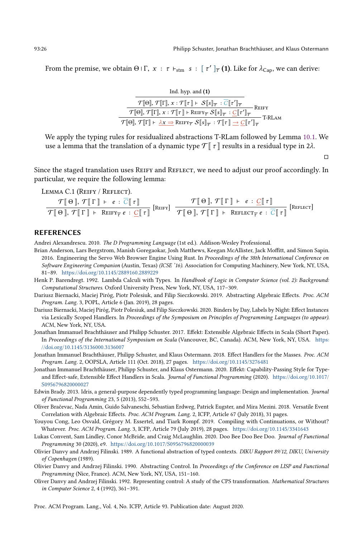From the premise, we obtain Θ  $\Gamma$ ,  $x$  :  $\tau$   $\vdash_{\text{stm}} s$  : [  $\tau'$  ] $_{\overline{\tau}}$  (1). Like for  $\lambda_{\text{Cap}}$ , we can derive:

| Ind. hyp. and $(1)$                                                                                                                                                                                                                        |        |
|--------------------------------------------------------------------------------------------------------------------------------------------------------------------------------------------------------------------------------------------|--------|
| $\mathcal{T}[\![\Theta]\!],\,\mathcal{T}[\![\Gamma]\!],x:\mathcal{T}[\![\tau]\!]\vdash\,\mathcal{S}[\![s]\!]_{\overline{\tau}}\,:\mathcal{C}[\![\tau']\!]_{\overline{\tau}}$                                                               | REIFY  |
| $\overline{\mathcal{T}[\![\Theta]\!],\, \mathcal{T}[\![\Gamma]\!],\, x : \mathcal{T}[\![\tau]\!] \vdash \overline{\mathrm{REIFY}_\tau}\ \mathcal{S}[\![s]\!]_{\overline{\tau}} \ : \underline{\mathcal{C}}[\![\tau']\!]_{\overline{\tau}}$ | T-RLAM |
| $\boxed{\mathcal{T}[\![\Theta]\!], \mathcal{T}[\![\Gamma]\!] \vdash \lambda x \Rightarrow \text{REIFY}_{\overline{\tau}} \mathcal{S}[\![s]\!]_{\overline{\tau}} : \mathcal{T}[\![\tau]\!] \rightarrow C[\![\tau']\!]_{\overline{\tau}}$    |        |

We apply the typing rules for residualized abstractions T-RLam followed by Lemma [10.1.](#page-25-15) We use a lemma that the translation of a dynamic type  $\mathcal{T} \upharpoonright \tau \upharpoonright \tau$  results in a residual type in 2 $\lambda$ .

□

Since the staged translation uses REIFY and REFLECT, we need to adjust our proof accordingly. In particular, we require the following lemma:

<span id="page-25-15"></span>LEMMA C.1 (REIFY / REFLECT).

$$
\frac{\mathcal{T}[\Theta], \mathcal{T}[\Gamma] \vdash e : \overline{C}[\tau]]}{\mathcal{T}[\Theta], \mathcal{T}[\Gamma] \vdash \text{REF}_{\overline{\tau}} e : \underline{C}[\tau]]} [\text{Rerly}]\n\frac{\mathcal{T}[\Theta], \mathcal{T}[\Gamma] \vdash e : \underline{C}[\tau]]}{\mathcal{T}[\Theta], \mathcal{T}[\Gamma] \vdash \text{REFLECT}_{\overline{\tau}} e : \overline{C}[\tau]]} [\text{Rerlect}]
$$

#### REFERENCES

<span id="page-25-5"></span>Andrei Alexandrescu. 2010. The D Programming Language (1st ed.). Addison-Wesley Professional.

- <span id="page-25-6"></span>Brian Anderson, Lars Bergstrom, Manish Goregaokar, Josh Matthews, Keegan McAllister, Jack Moffitt, and Simon Sapin. 2016. Engineering the Servo Web Browser Engine Using Rust. In Proceedings of the 38th International Conference on Software Engineering Companion (Austin, Texas) (ICSE '16). Association for Computing Machinery, New York, NY, USA, 81-89. <https://doi.org/10.1145/2889160.2889229>
- <span id="page-25-9"></span>Henk P. Barendregt. 1992. Lambda Calculi with Types. In Handbook of Logic in Computer Science (vol. 2): Background: Computational Structures. Oxford University Press, New York, NY, USA, 117-309.
- <span id="page-25-8"></span>Dariusz Biernacki, Maciej Piróg, Piotr Polesiuk, and Filip Sieczkowski. 2019. Abstracting Algebraic Effects. Proc. ACM Program. Lang. 3, POPL, Article 6 (Jan. 2019), 28 pages.
- <span id="page-25-1"></span>Dariusz Biernacki, Maciej Piróg, Piotr Polesiuk, and Filip Sieczkowski. 2020. Binders by Day, Labels by Night: Effect Instances via Lexically Scoped Handlers. In Proceedings of the Symposium on Principles of Programming Languages (to appear). ACM, New York, NY, USA.
- <span id="page-25-2"></span>Jonathan Immanuel Brachthäuser and Philipp Schuster. 2017. Effekt: Extensible Algebraic Effects in Scala (Short Paper). In Proceedings of the International Symposium on Scala (Vancouver, BC, Canada). ACM, New York, NY, USA. [https:](https://doi.org/10.1145/3136000.3136007) [//doi.org/10.1145/3136000.3136007](https://doi.org/10.1145/3136000.3136007)
- <span id="page-25-13"></span>Jonathan Immanuel Brachthäuser, Philipp Schuster, and Klaus Ostermann. 2018. Effect Handlers for the Masses. Proc. ACM Program. Lang. 2, OOPSLA, Article 111 (Oct. 2018), 27 pages. <https://doi.org/10.1145/3276481>
- <span id="page-25-3"></span>Jonathan Immanuel Brachthäuser, Philipp Schuster, and Klaus Ostermann. 2020. Effekt: Capability-Passing Style for Typeand Effect-safe, Extensible Effect Handlers in Scala. Journal of Functional Programming (2020). [https://doi.org/10.1017/](https://doi.org/10.1017/S0956796820000027) [S0956796820000027](https://doi.org/10.1017/S0956796820000027)
- <span id="page-25-12"></span>Edwin Brady. 2013. Idris, a general-purpose dependently typed programming language: Design and implementation. Journal of Functional Programming 23, 5 (2013), 552-593.
- <span id="page-25-0"></span>Oliver Bračevac, Nada Amin, Guido Salvaneschi, Sebastian Erdweg, Patrick Eugster, and Mira Mezini. 2018. Versatile Event Correlation with Algebraic Effects. Proc. ACM Program. Lang. 2, ICFP, Article 67 (July 2018), 31 pages.
- <span id="page-25-14"></span>Youyou Cong, Leo Osvald, Grégory M. Essertel, and Tiark Rompf. 2019. Compiling with Continuations, or Without? Whatever. Proc. ACM Program. Lang. 3, ICFP, Article 79 (July 2019), 28 pages. <https://doi.org/10.1145/3341643>
- <span id="page-25-7"></span>Lukas Convent, Sam Lindley, Conor McBride, and Craig McLaughlin. 2020. Doo Bee Doo Bee Doo. Journal of Functional Programming 30 (2020), e9. <https://doi.org/10.1017/S0956796820000039>
- <span id="page-25-10"></span>Olivier Danvy and Andrzej Filinski. 1989. A functional abstraction of typed contexts. DIKU Rapport 89/12, DIKU, University of Copenhagen (1989).
- <span id="page-25-4"></span>Olivier Danvy and Andrzej Filinski. 1990. Abstracting Control. In Proceedings of the Conference on LISP and Functional Programming (Nice, France). ACM, New York, NY, USA, 151-160.
- <span id="page-25-11"></span>Oliver Danvy and Andrzej Filinski. 1992. Representing control: A study of the CPS transformation. Mathematical Structures in Computer Science 2, 4 (1992), 361-391.

Proc. ACM Program. Lang., Vol. 4, No. ICFP, Article 93. Publication date: August 2020.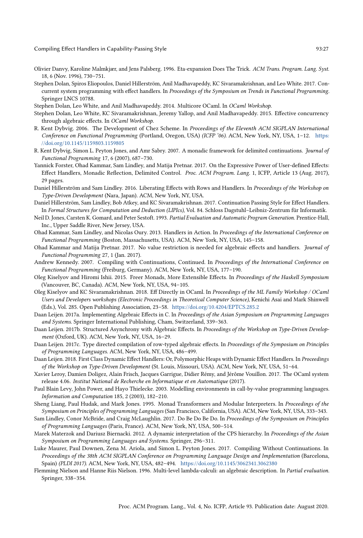<span id="page-26-25"></span>Olivier Danvy, Karoline Malmkjær, and Jens Palsberg. 1996. Eta-expansion Does The Trick. ACM Trans. Program. Lang. Syst. 18, 6 (Nov. 1996), 730-751.

<span id="page-26-0"></span>Stephen Dolan, Spiros Eliopoulos, Daniel Hillerström, Anil Madhavapeddy, KC Sivaramakrishnan, and Leo White. 2017. Concurrent system programming with effect handlers. In Proceedings of the Symposium on Trends in Functional Programming. Springer LNCS 10788.

<span id="page-26-6"></span>Stephen Dolan, Leo White, and Anil Madhavapeddy. 2014. Multicore OCaml. In OCaml Workshop.

- <span id="page-26-1"></span>Stephen Dolan, Leo White, KC Sivaramakrishnan, Jeremy Yallop, and Anil Madhavapeddy. 2015. Effective concurrency through algebraic effects. In OCaml Workshop.
- <span id="page-26-9"></span>R. Kent Dybvig. 2006. The Development of Chez Scheme. In Proceedings of the Eleventh ACM SIGPLAN International Conference on Functional Programming (Portland, Oregon, USA) (ICFP '06). ACM, New York, NY, USA, 1-12. [https:](https://doi.org/10.1145/1159803.1159805) [//doi.org/10.1145/1159803.1159805](https://doi.org/10.1145/1159803.1159805)
- <span id="page-26-18"></span>R. Kent Dybvig, Simon L. Peyton Jones, and Amr Sabry. 2007. A monadic framework for delimited continuations. Journal of Functional Programming 17, 6 (2007), 687-730.
- <span id="page-26-15"></span>Yannick Forster, Ohad Kammar, Sam Lindley, and Matija Pretnar. 2017. On the Expressive Power of User-defined Effects: Effect Handlers, Monadic Reflection, Delimited Control. Proc. ACM Program. Lang. 1, ICFP, Article 13 (Aug. 2017), 29 pages.
- <span id="page-26-2"></span>Daniel Hillerström and Sam Lindley. 2016. Liberating Effects with Rows and Handlers. In Proceedings of the Workshop on Type-Driven Development (Nara, Japan). ACM, New York, NY, USA.
- <span id="page-26-7"></span>Daniel Hillerström, Sam Lindley, Bob Atkey, and KC Sivaramakrishnan. 2017. Continuation Passing Style for Effect Handlers. In Formal Structures for Computation and Deduction (LIPIcs), Vol. 84. Schloss Dagstuhl-Leibniz-Zentrum für Informatik.
- <span id="page-26-17"></span>Neil D. Jones, Carsten K. Gomard, and Peter Sestoft. 1993. Partial Evaluation and Automatic Program Generation. Prentice-Hall, Inc., Upper Saddle River, New Jersey, USA.
- <span id="page-26-3"></span>Ohad Kammar, Sam Lindley, and Nicolas Oury. 2013. Handlers in Action. In Proceedings of the International Conference on Functional Programming (Boston, Massachusetts, USA). ACM, New York, NY, USA, 145-158.
- <span id="page-26-11"></span>Ohad Kammar and Matija Pretnar. 2017. No value restriction is needed for algebraic effects and handlers. Journal of Functional Programming 27, 1 (Jan. 2017).
- <span id="page-26-23"></span>Andrew Kennedy. 2007. Compiling with Continuations, Continued. In Proceedings of the International Conference on Functional Programming (Freiburg, Germany). ACM, New York, NY, USA, 177-190.
- <span id="page-26-20"></span>Oleg Kiselyov and Hiromi Ishii. 2015. Freer Monads, More Extensible Effects. In Proceedings of the Haskell Symposium (Vancouver, BC, Canada). ACM, New York, NY, USA, 94-105.
- <span id="page-26-19"></span>Oleg Kiselyov and KC Sivaramakrishnan. 2018. Eff Directly in OCaml. In Proceedings of the ML Family Workshop / OCaml Users and Developers workshops (Electronic Proceedings in Theoretical Computer Science), Kenichi Asai and Mark Shinwell (Eds.), Vol. 285. Open Publishing Association, 23-58. <https://doi.org/10.4204/EPTCS.285.2>
- <span id="page-26-5"></span>Daan Leijen. 2017a. Implementing Algebraic Effects in C. In Proceedings of the Asian Symposium on Programming Languages and Systems. Springer International Publishing, Cham, Switzerland, 339-363.
- <span id="page-26-4"></span>Daan Leijen. 2017b. Structured Asynchrony with Algebraic Effects. In Proceedings of the Workshop on Type-Driven Development (Oxford, UK). ACM, New York, NY, USA, 16-29.
- <span id="page-26-8"></span>Daan Leijen. 2017c. Type directed compilation of row-typed algebraic effects. In Proceedings of the Symposium on Principles of Programming Languages. ACM, New York, NY, USA, 486-499.
- <span id="page-26-13"></span>Daan Leijen. 2018. First Class Dynamic Effect Handlers: Or, Polymorphic Heaps with Dynamic Effect Handlers. In Proceedings of the Workshop on Type-Driven Development (St. Louis, Missouri, USA). ACM, New York, NY, USA, 51-64.
- <span id="page-26-21"></span>Xavier Leroy, Damien Doligez, Alain Frisch, Jacques Garrigue, Didier Rémy, and Jérôme Vouillon. 2017. The OCaml system release 4.06. Institut National de Recherche en Informatique et en Automatique (2017).
- <span id="page-26-12"></span>Paul Blain Levy, John Power, and Hayo Thielecke. 2003. Modelling environments in call-by-value programming languages. Information and Computation 185, 2 (2003), 182-210.
- <span id="page-26-22"></span>Sheng Liang, Paul Hudak, and Mark Jones. 1995. Monad Transformers and Modular Interpreters. In Proceedings of the Symposium on Principles of Programming Languages (San Francisco, California, USA). ACM, New York, NY, USA, 333-343.
- <span id="page-26-10"></span>Sam Lindley, Conor McBride, and Craig McLaughlin. 2017. Do Be Do Be Do. In Proceedings of the Symposium on Principles of Programming Languages (Paris, France). ACM, New York, NY, USA, 500-514.
- <span id="page-26-14"></span>Marek Materzok and Dariusz Biernacki. 2012. A dynamic interpretation of the CPS hierarchy. In Proceedings of the Asian Symposium on Programming Languages and Systems. Springer, 296-311.
- <span id="page-26-24"></span>Luke Maurer, Paul Downen, Zena M. Ariola, and Simon L. Peyton Jones. 2017. Compiling Without Continuations. In Proceedings of the 38th ACM SIGPLAN Conference on Programming Language Design and Implementation (Barcelona, Spain) (PLDI 2017). ACM, New York, NY, USA, 482-494. <https://doi.org/10.1145/3062341.3062380>
- <span id="page-26-16"></span>Flemming Nielson and Hanne Riis Nielson. 1996. Multi-level lambda-calculi: an algebraic description. In Partial evaluation. Springer, 338-354.